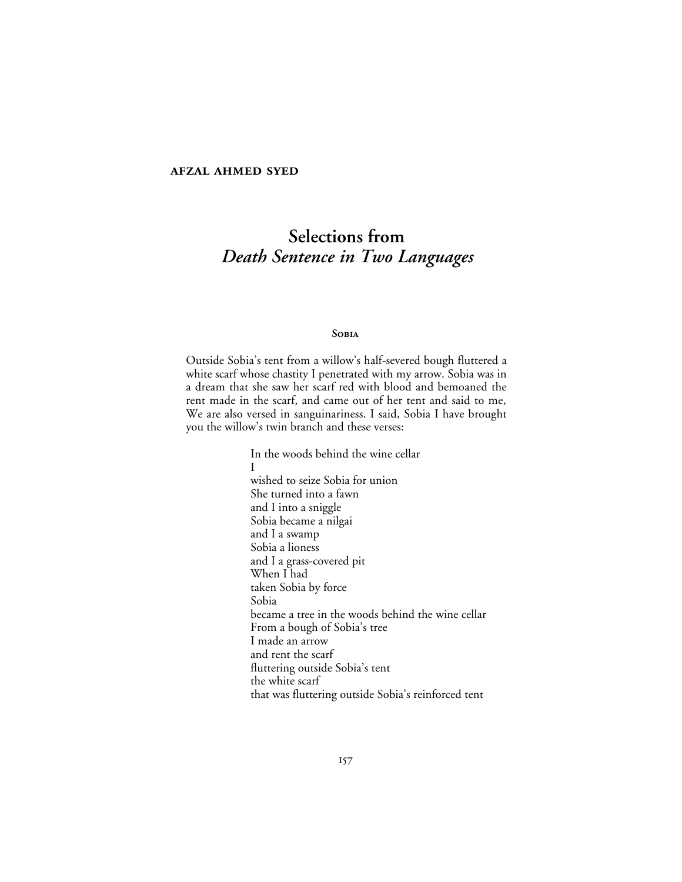## **AFZAL AHMED SYED**

# **Selections from** *Death Sentence in Two Languages*

#### SOBIA

Outside Sobia's tent from a willow's half-severed bough fluttered a white scarf whose chastity I penetrated with my arrow. Sobia was in a dream that she saw her scarf red with blood and bemoaned the rent made in the scarf, and came out of her tent and said to me, We are also versed in sanguinariness. I said, Sobia I have brought you the willow's twin branch and these verses:

> In the woods behind the wine cellar I wished to seize Sobia for union She turned into a fawn and I into a sniggle Sobia became a nilgai and I a swamp Sobia a lioness and I a grass-covered pit When I had taken Sobia by force Sobia became a tree in the woods behind the wine cellar From a bough of Sobia's tree I made an arrow and rent the scarf fluttering outside Sobia's tent the white scarf that was fluttering outside Sobia's reinforced tent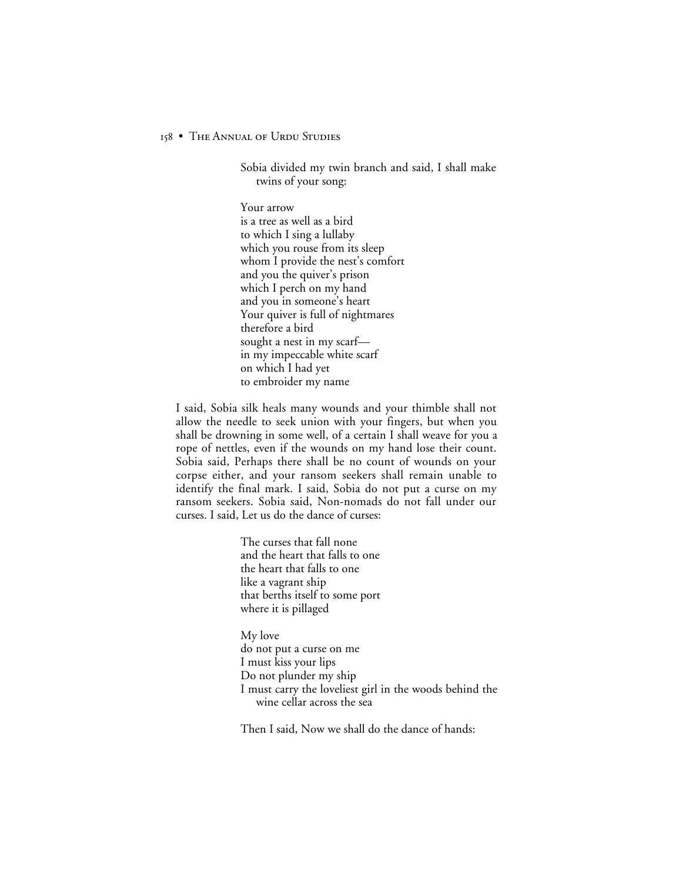Sobia divided my twin branch and said, I shall make twins of your song:

Your arrow is a tree as well as a bird to which I sing a lullaby which you rouse from its sleep whom I provide the nest's comfort and you the quiver's prison which I perch on my hand and you in someone's heart Your quiver is full of nightmares therefore a bird sought a nest in my scarf in my impeccable white scarf on which I had yet to embroider my name

I said, Sobia silk heals many wounds and your thimble shall not allow the needle to seek union with your fingers, but when you shall be drowning in some well, of a certain I shall weave for you a rope of nettles, even if the wounds on my hand lose their count. Sobia said, Perhaps there shall be no count of wounds on your corpse either, and your ransom seekers shall remain unable to identify the final mark. I said, Sobia do not put a curse on my ransom seekers. Sobia said, Non-nomads do not fall under our curses. I said, Let us do the dance of curses:

> The curses that fall none and the heart that falls to one the heart that falls to one like a vagrant ship that berths itself to some port where it is pillaged

My love do not put a curse on me I must kiss your lips Do not plunder my ship I must carry the loveliest girl in the woods behind the wine cellar across the sea

Then I said, Now we shall do the dance of hands: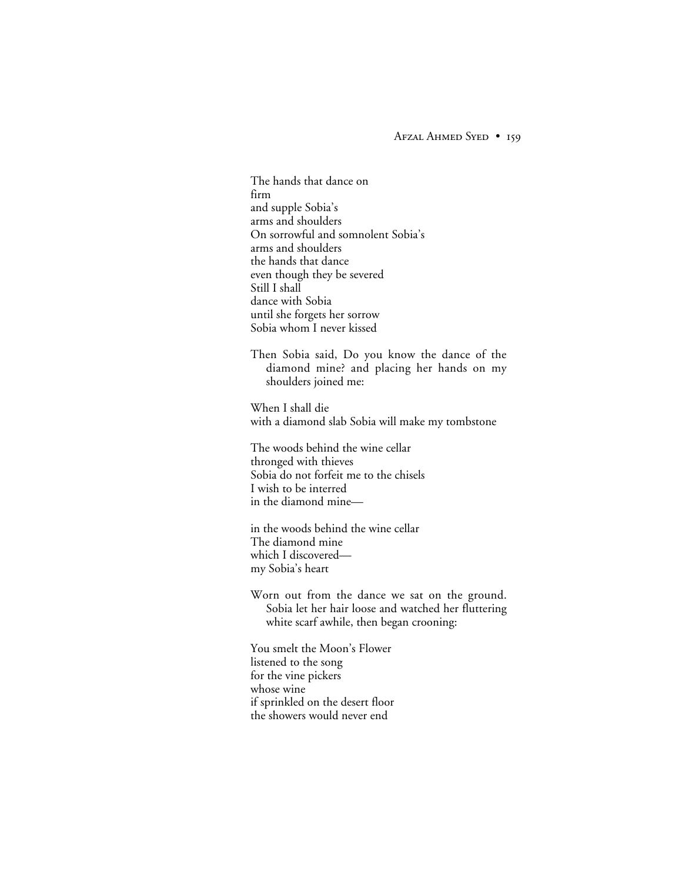The hands that dance on firm and supple Sobia's arms and shoulders On sorrowful and somnolent Sobia's arms and shoulders the hands that dance even though they be severed Still I shall dance with Sobia until she forgets her sorrow Sobia whom I never kissed

Then Sobia said, Do you know the dance of the diamond mine? and placing her hands on my shoulders joined me:

When I shall die with a diamond slab Sobia will make my tombstone

The woods behind the wine cellar thronged with thieves Sobia do not forfeit me to the chisels I wish to be interred in the diamond mine—

in the woods behind the wine cellar The diamond mine which I discovered my Sobia's heart

Worn out from the dance we sat on the ground. Sobia let her hair loose and watched her fluttering white scarf awhile, then began crooning:

You smelt the Moon's Flower listened to the song for the vine pickers whose wine if sprinkled on the desert floor the showers would never end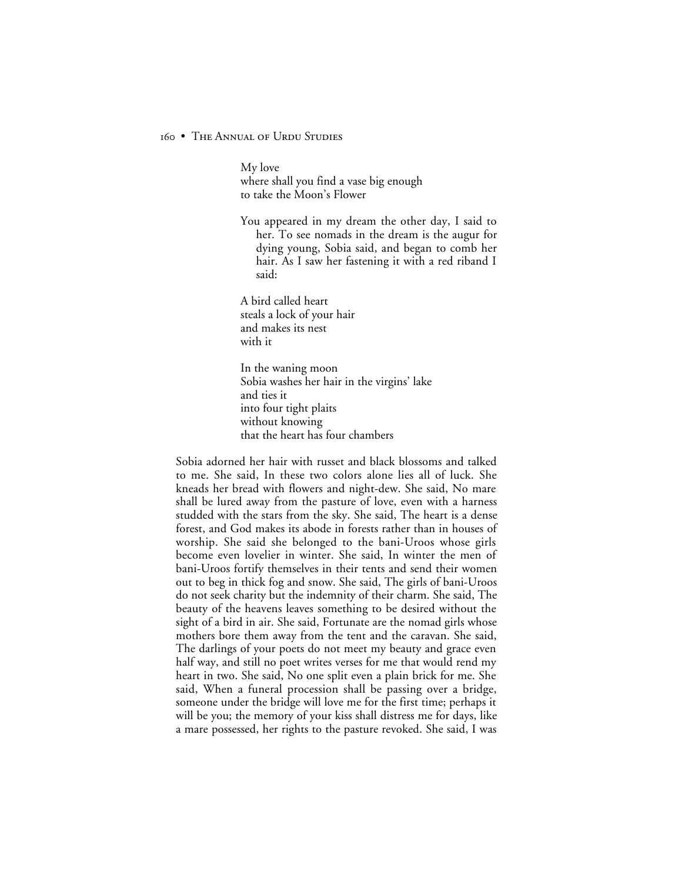My love where shall you find a vase big enough to take the Moon's Flower

You appeared in my dream the other day, I said to her. To see nomads in the dream is the augur for dying young, Sobia said, and began to comb her hair. As I saw her fastening it with a red riband I said:

A bird called heart steals a lock of your hair and makes its nest with it

In the waning moon Sobia washes her hair in the virgins' lake and ties it into four tight plaits without knowing that the heart has four chambers

Sobia adorned her hair with russet and black blossoms and talked to me. She said, In these two colors alone lies all of luck. She kneads her bread with flowers and night-dew. She said, No mare shall be lured away from the pasture of love, even with a harness studded with the stars from the sky. She said, The heart is a dense forest, and God makes its abode in forests rather than in houses of worship. She said she belonged to the bani-Uroos whose girls become even lovelier in winter. She said, In winter the men of bani-Uroos fortify themselves in their tents and send their women out to beg in thick fog and snow. She said, The girls of bani-Uroos do not seek charity but the indemnity of their charm. She said, The beauty of the heavens leaves something to be desired without the sight of a bird in air. She said, Fortunate are the nomad girls whose mothers bore them away from the tent and the caravan. She said, The darlings of your poets do not meet my beauty and grace even half way, and still no poet writes verses for me that would rend my heart in two. She said, No one split even a plain brick for me. She said, When a funeral procession shall be passing over a bridge, someone under the bridge will love me for the first time; perhaps it will be you; the memory of your kiss shall distress me for days, like a mare possessed, her rights to the pasture revoked. She said, I was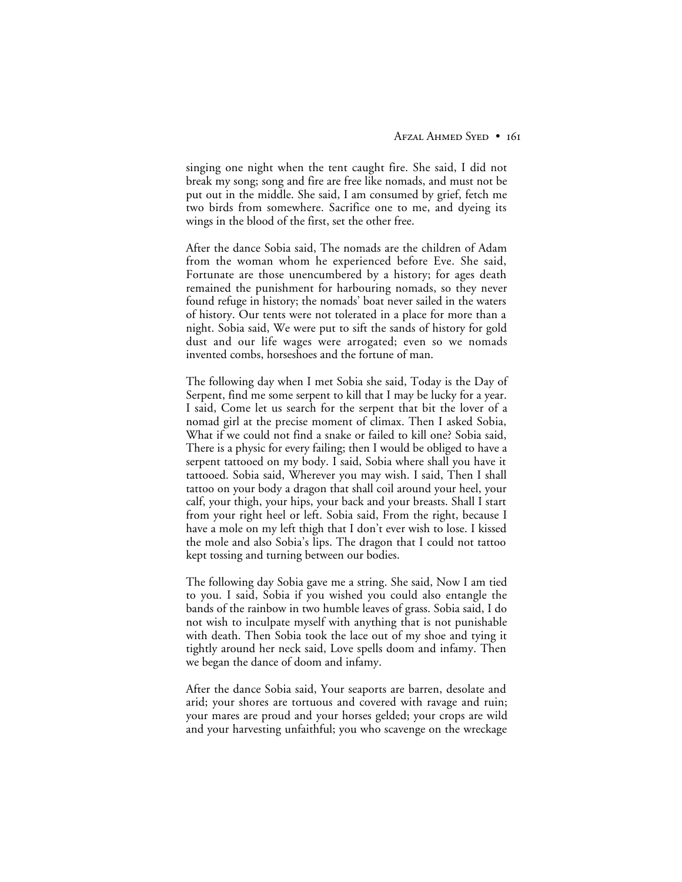singing one night when the tent caught fire. She said, I did not break my song; song and fire are free like nomads, and must not be put out in the middle. She said, I am consumed by grief, fetch me two birds from somewhere. Sacrifice one to me, and dyeing its wings in the blood of the first, set the other free.

After the dance Sobia said, The nomads are the children of Adam from the woman whom he experienced before Eve. She said, Fortunate are those unencumbered by a history; for ages death remained the punishment for harbouring nomads, so they never found refuge in history; the nomads' boat never sailed in the waters of history. Our tents were not tolerated in a place for more than a night. Sobia said, We were put to sift the sands of history for gold dust and our life wages were arrogated; even so we nomads invented combs, horseshoes and the fortune of man.

The following day when I met Sobia she said, Today is the Day of Serpent, find me some serpent to kill that I may be lucky for a year. I said, Come let us search for the serpent that bit the lover of a nomad girl at the precise moment of climax. Then I asked Sobia, What if we could not find a snake or failed to kill one? Sobia said, There is a physic for every failing; then I would be obliged to have a serpent tattooed on my body. I said, Sobia where shall you have it tattooed. Sobia said, Wherever you may wish. I said, Then I shall tattoo on your body a dragon that shall coil around your heel, your calf, your thigh, your hips, your back and your breasts. Shall I start from your right heel or left. Sobia said, From the right, because I have a mole on my left thigh that I don't ever wish to lose. I kissed the mole and also Sobia's lips. The dragon that I could not tattoo kept tossing and turning between our bodies.

The following day Sobia gave me a string. She said, Now I am tied to you. I said, Sobia if you wished you could also entangle the bands of the rainbow in two humble leaves of grass. Sobia said, I do not wish to inculpate myself with anything that is not punishable with death. Then Sobia took the lace out of my shoe and tying it tightly around her neck said, Love spells doom and infamy. Then we began the dance of doom and infamy.

After the dance Sobia said, Your seaports are barren, desolate and arid; your shores are tortuous and covered with ravage and ruin; your mares are proud and your horses gelded; your crops are wild and your harvesting unfaithful; you who scavenge on the wreckage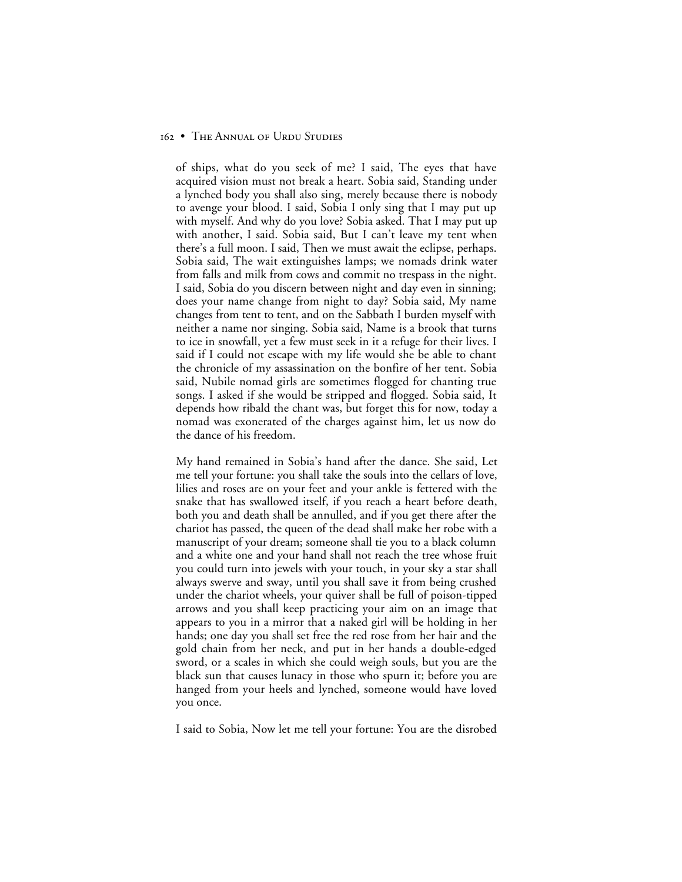of ships, what do you seek of me? I said, The eyes that have acquired vision must not break a heart. Sobia said, Standing under a lynched body you shall also sing, merely because there is nobody to avenge your blood. I said, Sobia I only sing that I may put up with myself. And why do you love? Sobia asked. That I may put up with another, I said. Sobia said, But I can't leave my tent when there's a full moon. I said, Then we must await the eclipse, perhaps. Sobia said, The wait extinguishes lamps; we nomads drink water from falls and milk from cows and commit no trespass in the night. I said, Sobia do you discern between night and day even in sinning; does your name change from night to day? Sobia said, My name changes from tent to tent, and on the Sabbath I burden myself with neither a name nor singing. Sobia said, Name is a brook that turns to ice in snowfall, yet a few must seek in it a refuge for their lives. I said if I could not escape with my life would she be able to chant the chronicle of my assassination on the bonfire of her tent. Sobia said, Nubile nomad girls are sometimes flogged for chanting true songs. I asked if she would be stripped and flogged. Sobia said, It depends how ribald the chant was, but forget this for now, today a nomad was exonerated of the charges against him, let us now do the dance of his freedom.

My hand remained in Sobia's hand after the dance. She said, Let me tell your fortune: you shall take the souls into the cellars of love, lilies and roses are on your feet and your ankle is fettered with the snake that has swallowed itself, if you reach a heart before death, both you and death shall be annulled, and if you get there after the chariot has passed, the queen of the dead shall make her robe with a manuscript of your dream; someone shall tie you to a black column and a white one and your hand shall not reach the tree whose fruit you could turn into jewels with your touch, in your sky a star shall always swerve and sway, until you shall save it from being crushed under the chariot wheels, your quiver shall be full of poison-tipped arrows and you shall keep practicing your aim on an image that appears to you in a mirror that a naked girl will be holding in her hands; one day you shall set free the red rose from her hair and the gold chain from her neck, and put in her hands a double-edged sword, or a scales in which she could weigh souls, but you are the black sun that causes lunacy in those who spurn it; before you are hanged from your heels and lynched, someone would have loved you once.

I said to Sobia, Now let me tell your fortune: You are the disrobed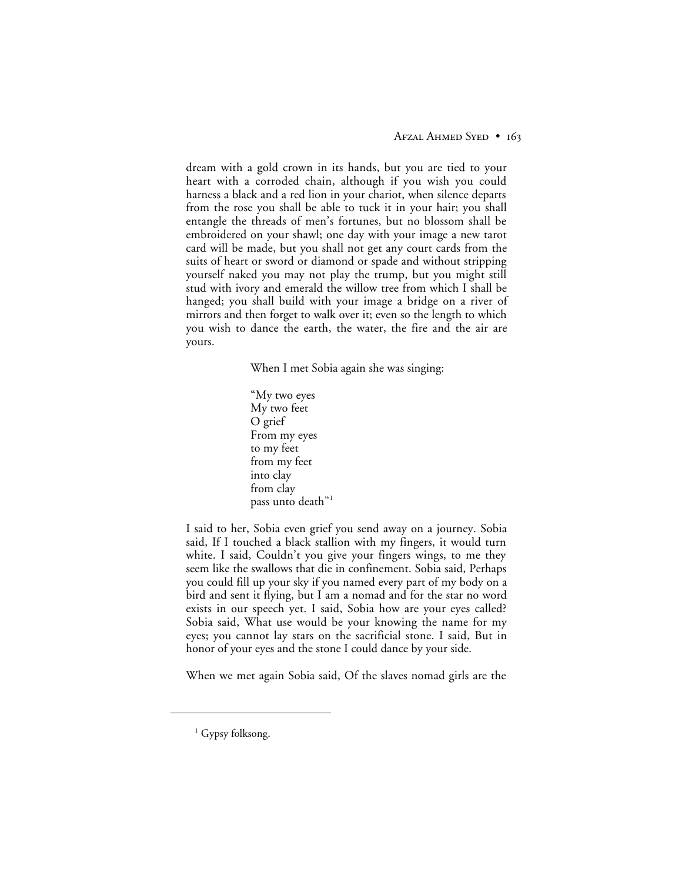## AFZAL AHMED SYED • 163

dream with a gold crown in its hands, but you are tied to your heart with a corroded chain, although if you wish you could harness a black and a red lion in your chariot, when silence departs from the rose you shall be able to tuck it in your hair; you shall entangle the threads of men's fortunes, but no blossom shall be embroidered on your shawl; one day with your image a new tarot card will be made, but you shall not get any court cards from the suits of heart or sword or diamond or spade and without stripping yourself naked you may not play the trump, but you might still stud with ivory and emerald the willow tree from which I shall be hanged; you shall build with your image a bridge on a river of mirrors and then forget to walk over it; even so the length to which you wish to dance the earth, the water, the fire and the air are yours.

When I met Sobia again she was singing:

"My two eyes My two feet O grief From my eyes to my feet from my feet into clay from clay pass unto death"<sup>1</sup>

I said to her, Sobia even grief you send away on a journey. Sobia said, If I touched a black stallion with my fingers, it would turn white. I said, Couldn't you give your fingers wings, to me they seem like the swallows that die in confinement. Sobia said, Perhaps you could fill up your sky if you named every part of my body on a bird and sent it flying, but I am a nomad and for the star no word exists in our speech yet. I said, Sobia how are your eyes called? Sobia said, What use would be your knowing the name for my eyes; you cannot lay stars on the sacrificial stone. I said, But in honor of your eyes and the stone I could dance by your side.

When we met again Sobia said, Of the slaves nomad girls are the

 $\overline{a}$ 

<sup>&</sup>lt;sup>1</sup> Gypsy folksong.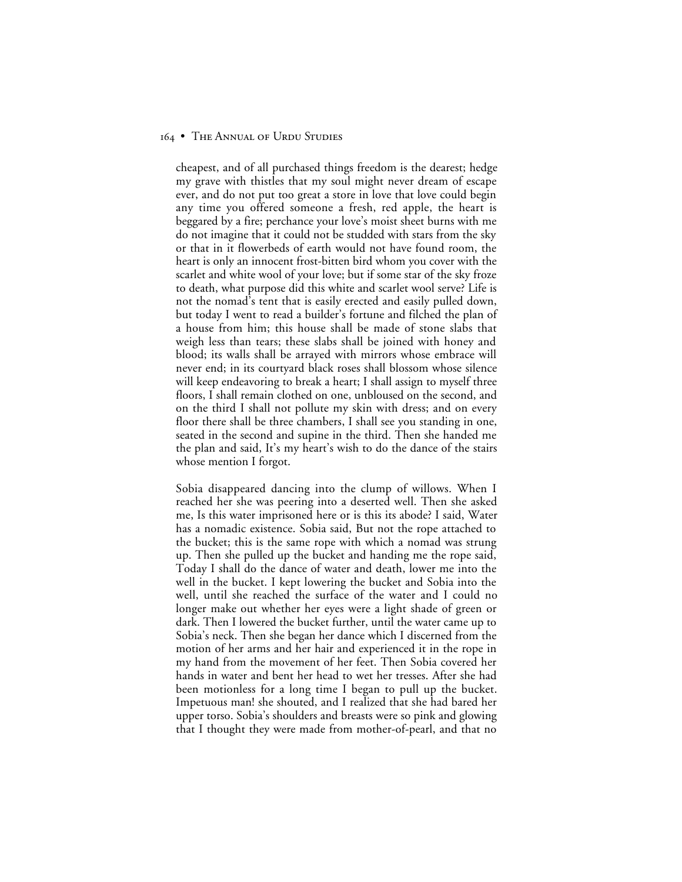cheapest, and of all purchased things freedom is the dearest; hedge my grave with thistles that my soul might never dream of escape ever, and do not put too great a store in love that love could begin any time you offered someone a fresh, red apple, the heart is beggared by a fire; perchance your love's moist sheet burns with me do not imagine that it could not be studded with stars from the sky or that in it flowerbeds of earth would not have found room, the heart is only an innocent frost-bitten bird whom you cover with the scarlet and white wool of your love; but if some star of the sky froze to death, what purpose did this white and scarlet wool serve? Life is not the nomad's tent that is easily erected and easily pulled down, but today I went to read a builder's fortune and filched the plan of a house from him; this house shall be made of stone slabs that weigh less than tears; these slabs shall be joined with honey and blood; its walls shall be arrayed with mirrors whose embrace will never end; in its courtyard black roses shall blossom whose silence will keep endeavoring to break a heart; I shall assign to myself three floors, I shall remain clothed on one, unbloused on the second, and on the third I shall not pollute my skin with dress; and on every floor there shall be three chambers, I shall see you standing in one, seated in the second and supine in the third. Then she handed me the plan and said, It's my heart's wish to do the dance of the stairs whose mention I forgot.

Sobia disappeared dancing into the clump of willows. When I reached her she was peering into a deserted well. Then she asked me, Is this water imprisoned here or is this its abode? I said, Water has a nomadic existence. Sobia said, But not the rope attached to the bucket; this is the same rope with which a nomad was strung up. Then she pulled up the bucket and handing me the rope said, Today I shall do the dance of water and death, lower me into the well in the bucket. I kept lowering the bucket and Sobia into the well, until she reached the surface of the water and I could no longer make out whether her eyes were a light shade of green or dark. Then I lowered the bucket further, until the water came up to Sobia's neck. Then she began her dance which I discerned from the motion of her arms and her hair and experienced it in the rope in my hand from the movement of her feet. Then Sobia covered her hands in water and bent her head to wet her tresses. After she had been motionless for a long time I began to pull up the bucket. Impetuous man! she shouted, and I realized that she had bared her upper torso. Sobia's shoulders and breasts were so pink and glowing that I thought they were made from mother-of-pearl, and that no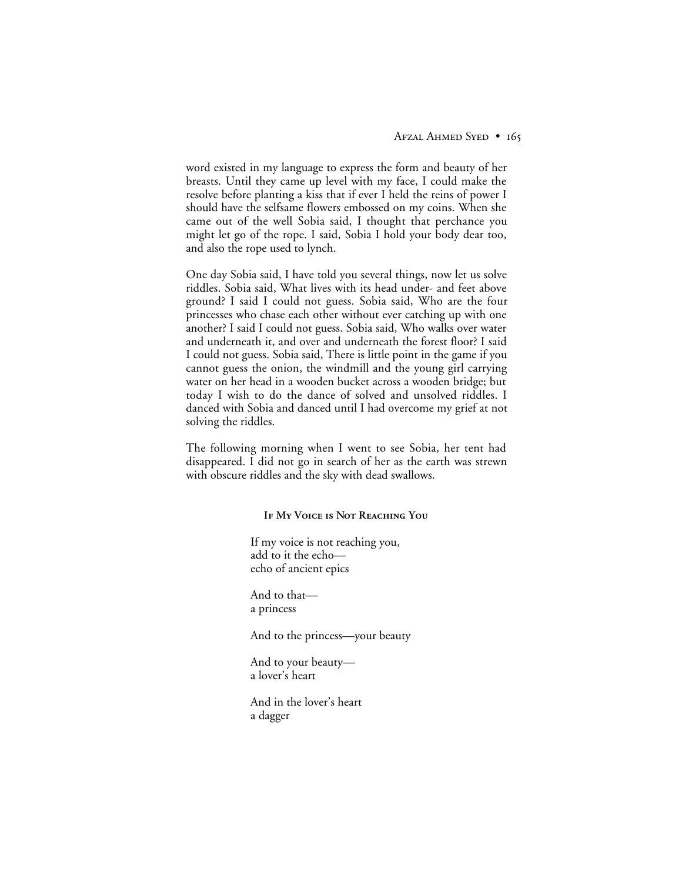word existed in my language to express the form and beauty of her breasts. Until they came up level with my face, I could make the resolve before planting a kiss that if ever I held the reins of power I should have the selfsame flowers embossed on my coins. When she came out of the well Sobia said, I thought that perchance you might let go of the rope. I said, Sobia I hold your body dear too, and also the rope used to lynch.

One day Sobia said, I have told you several things, now let us solve riddles. Sobia said, What lives with its head under- and feet above ground? I said I could not guess. Sobia said, Who are the four princesses who chase each other without ever catching up with one another? I said I could not guess. Sobia said, Who walks over water and underneath it, and over and underneath the forest floor? I said I could not guess. Sobia said, There is little point in the game if you cannot guess the onion, the windmill and the young girl carrying water on her head in a wooden bucket across a wooden bridge; but today I wish to do the dance of solved and unsolved riddles. I danced with Sobia and danced until I had overcome my grief at not solving the riddles.

The following morning when I went to see Sobia, her tent had disappeared. I did not go in search of her as the earth was strewn with obscure riddles and the sky with dead swallows.

## **IF MY VOICE IS NOT REACHING YOU**

If my voice is not reaching you, add to it the echo echo of ancient epics

And to that a princess

And to the princess—your beauty

And to your beauty a lover's heart

And in the lover's heart a dagger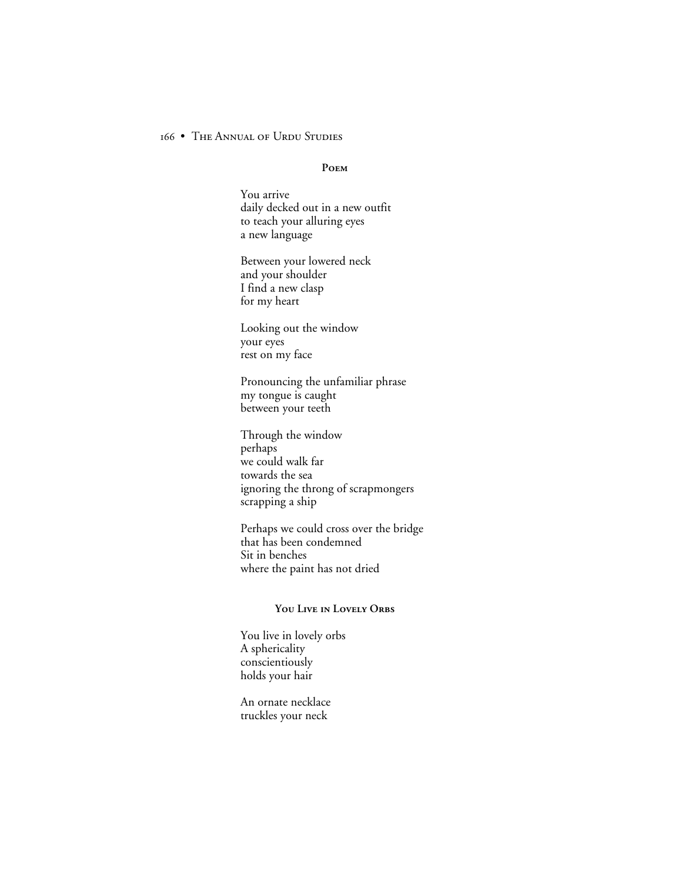P<sub>OEM</sub>

You arrive daily decked out in a new outfit to teach your alluring eyes a new language

Between your lowered neck and your shoulder I find a new clasp for my heart

Looking out the window your eyes rest on my face

Pronouncing the unfamiliar phrase my tongue is caught between your teeth

Through the window perhaps we could walk far towards the sea ignoring the throng of scrapmongers scrapping a ship

Perhaps we could cross over the bridge that has been condemned Sit in benches where the paint has not dried

## **YOU LIVE IN LOVELY ORBS**

You live in lovely orbs A sphericality conscientiously holds your hair

An ornate necklace truckles your neck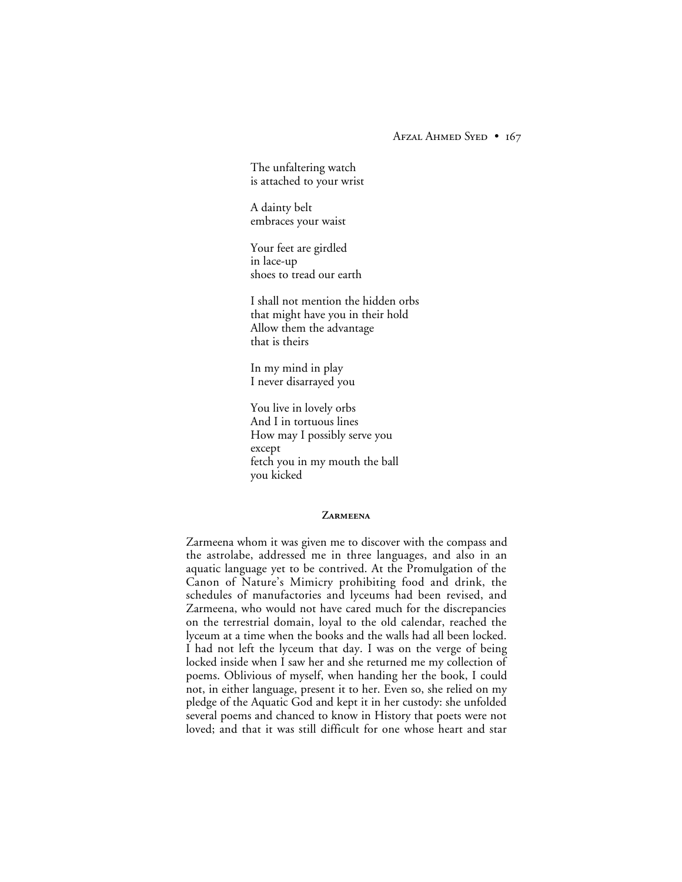The unfaltering watch is attached to your wrist

A dainty belt embraces your waist

Your feet are girdled in lace-up shoes to tread our earth

I shall not mention the hidden orbs that might have you in their hold Allow them the advantage that is theirs

In my mind in play I never disarrayed you

You live in lovely orbs And I in tortuous lines How may I possibly serve you except fetch you in my mouth the ball you kicked

## **ZARMEENA**

Zarmeena whom it was given me to discover with the compass and the astrolabe, addressed me in three languages, and also in an aquatic language yet to be contrived. At the Promulgation of the Canon of Nature's Mimicry prohibiting food and drink, the schedules of manufactories and lyceums had been revised, and Zarmeena, who would not have cared much for the discrepancies on the terrestrial domain, loyal to the old calendar, reached the lyceum at a time when the books and the walls had all been locked. I had not left the lyceum that day. I was on the verge of being locked inside when I saw her and she returned me my collection of poems. Oblivious of myself, when handing her the book, I could not, in either language, present it to her. Even so, she relied on my pledge of the Aquatic God and kept it in her custody: she unfolded several poems and chanced to know in History that poets were not loved; and that it was still difficult for one whose heart and star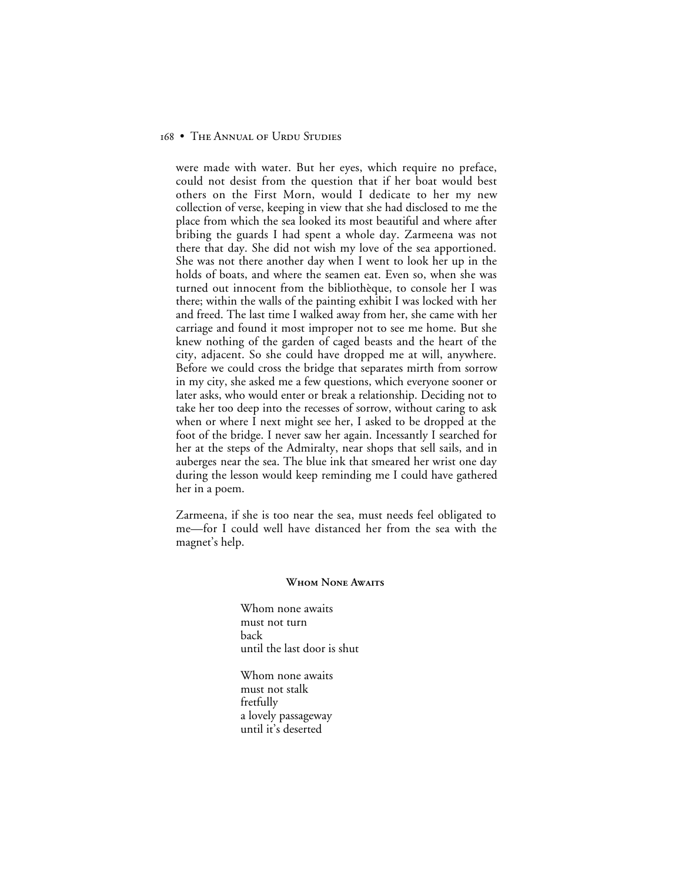were made with water. But her eyes, which require no preface, could not desist from the question that if her boat would best others on the First Morn, would I dedicate to her my new collection of verse, keeping in view that she had disclosed to me the place from which the sea looked its most beautiful and where after bribing the guards I had spent a whole day. Zarmeena was not there that day. She did not wish my love of the sea apportioned. She was not there another day when I went to look her up in the holds of boats, and where the seamen eat. Even so, when she was turned out innocent from the bibliothèque, to console her I was there; within the walls of the painting exhibit I was locked with her and freed. The last time I walked away from her, she came with her carriage and found it most improper not to see me home. But she knew nothing of the garden of caged beasts and the heart of the city, adjacent. So she could have dropped me at will, anywhere. Before we could cross the bridge that separates mirth from sorrow in my city, she asked me a few questions, which everyone sooner or later asks, who would enter or break a relationship. Deciding not to take her too deep into the recesses of sorrow, without caring to ask when or where I next might see her, I asked to be dropped at the foot of the bridge. I never saw her again. Incessantly I searched for her at the steps of the Admiralty, near shops that sell sails, and in auberges near the sea. The blue ink that smeared her wrist one day during the lesson would keep reminding me I could have gathered her in a poem.

Zarmeena, if she is too near the sea, must needs feel obligated to me—for I could well have distanced her from the sea with the magnet's help.

#### **WHOM NONE AWAITS**

Whom none awaits must not turn back until the last door is shut

Whom none awaits must not stalk fretfully a lovely passageway until it's deserted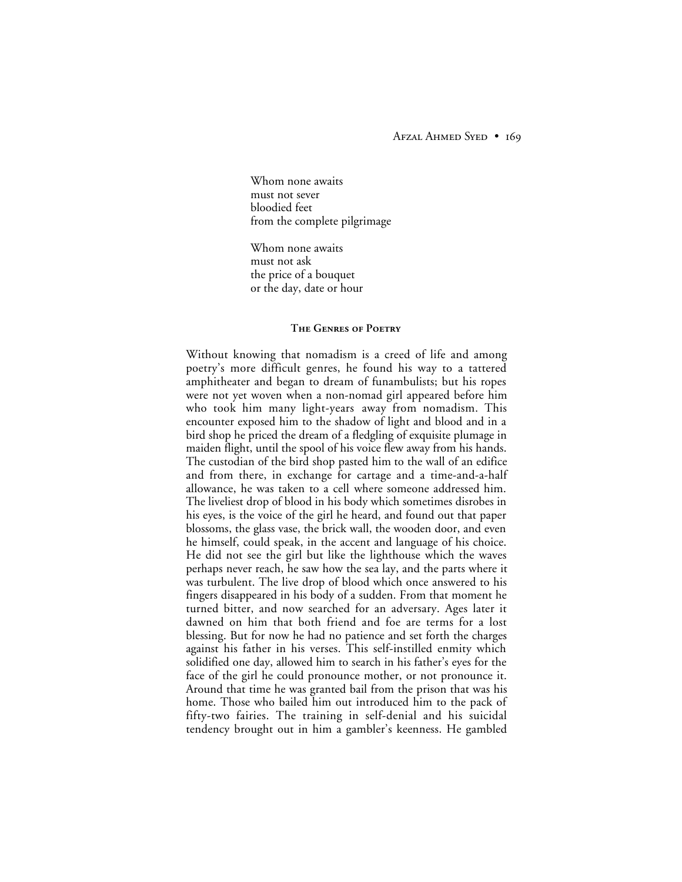Whom none awaits must not sever bloodied feet from the complete pilgrimage

Whom none awaits must not ask the price of a bouquet or the day, date or hour

#### **THE GENRES OF POETRY**

Without knowing that nomadism is a creed of life and among poetry's more difficult genres, he found his way to a tattered amphitheater and began to dream of funambulists; but his ropes were not yet woven when a non-nomad girl appeared before him who took him many light-years away from nomadism. This encounter exposed him to the shadow of light and blood and in a bird shop he priced the dream of a fledgling of exquisite plumage in maiden flight, until the spool of his voice flew away from his hands. The custodian of the bird shop pasted him to the wall of an edifice and from there, in exchange for cartage and a time-and-a-half allowance, he was taken to a cell where someone addressed him. The liveliest drop of blood in his body which sometimes disrobes in his eyes, is the voice of the girl he heard, and found out that paper blossoms, the glass vase, the brick wall, the wooden door, and even he himself, could speak, in the accent and language of his choice. He did not see the girl but like the lighthouse which the waves perhaps never reach, he saw how the sea lay, and the parts where it was turbulent. The live drop of blood which once answered to his fingers disappeared in his body of a sudden. From that moment he turned bitter, and now searched for an adversary. Ages later it dawned on him that both friend and foe are terms for a lost blessing. But for now he had no patience and set forth the charges against his father in his verses. This self-instilled enmity which solidified one day, allowed him to search in his father's eyes for the face of the girl he could pronounce mother, or not pronounce it. Around that time he was granted bail from the prison that was his home. Those who bailed him out introduced him to the pack of fifty-two fairies. The training in self-denial and his suicidal tendency brought out in him a gambler's keenness. He gambled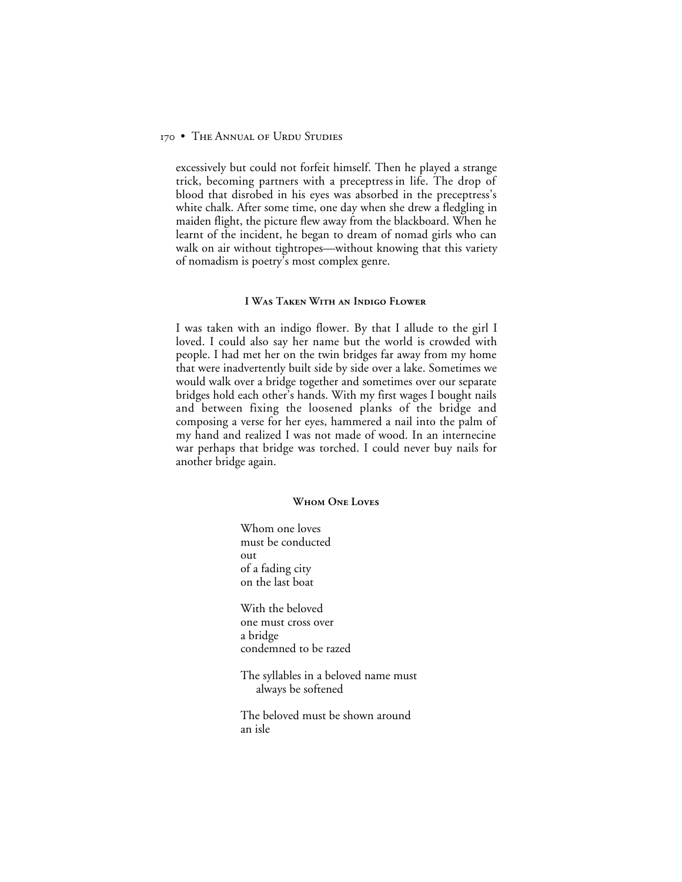excessively but could not forfeit himself. Then he played a strange trick, becoming partners with a preceptress in life. The drop of blood that disrobed in his eyes was absorbed in the preceptress's white chalk. After some time, one day when she drew a fledgling in maiden flight, the picture flew away from the blackboard. When he learnt of the incident, he began to dream of nomad girls who can walk on air without tightropes—without knowing that this variety of nomadism is poetry's most complex genre.

#### **I WAS TAKEN WITH AN INDIGO FLOWER**

I was taken with an indigo flower. By that I allude to the girl I loved. I could also say her name but the world is crowded with people. I had met her on the twin bridges far away from my home that were inadvertently built side by side over a lake. Sometimes we would walk over a bridge together and sometimes over our separate bridges hold each other's hands. With my first wages I bought nails and between fixing the loosened planks of the bridge and composing a verse for her eyes, hammered a nail into the palm of my hand and realized I was not made of wood. In an internecine war perhaps that bridge was torched. I could never buy nails for another bridge again.

#### **WHOM ONE LOVES**

Whom one loves must be conducted out of a fading city on the last boat With the beloved one must cross over a bridge condemned to be razed The syllables in a beloved name must always be softened The beloved must be shown around an isle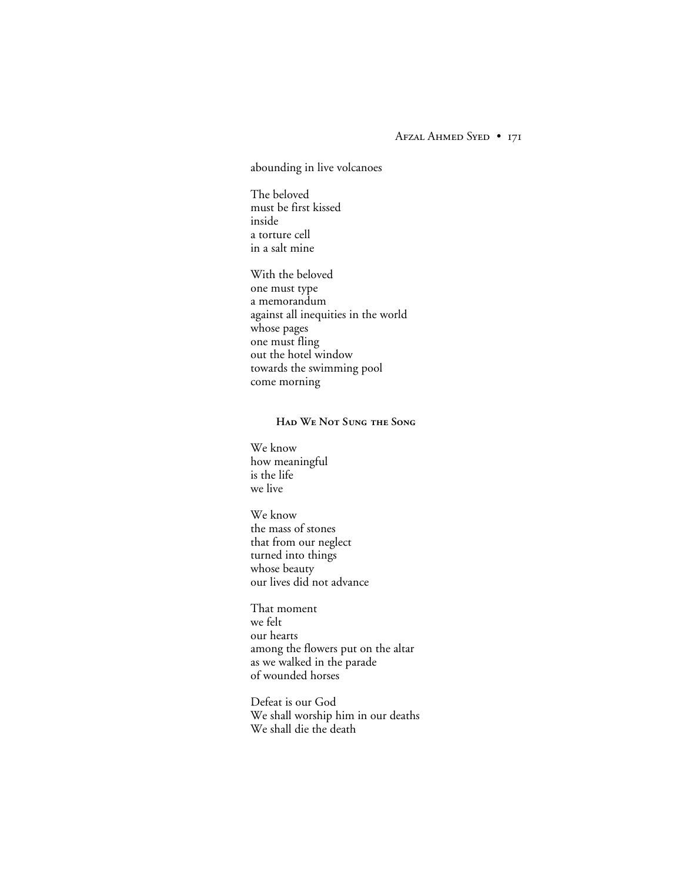abounding in live volcanoes

The beloved must be first kissed inside a torture cell in a salt mine

With the beloved one must type a memorandum against all inequities in the world whose pages one must fling out the hotel window towards the swimming pool come morning

#### **HAD WE NOT SUNG THE SONG**

We know how meaningful is the life we live

We know the mass of stones that from our neglect turned into things whose beauty our lives did not advance

That moment we felt our hearts among the flowers put on the altar as we walked in the parade of wounded horses

Defeat is our God We shall worship him in our deaths We shall die the death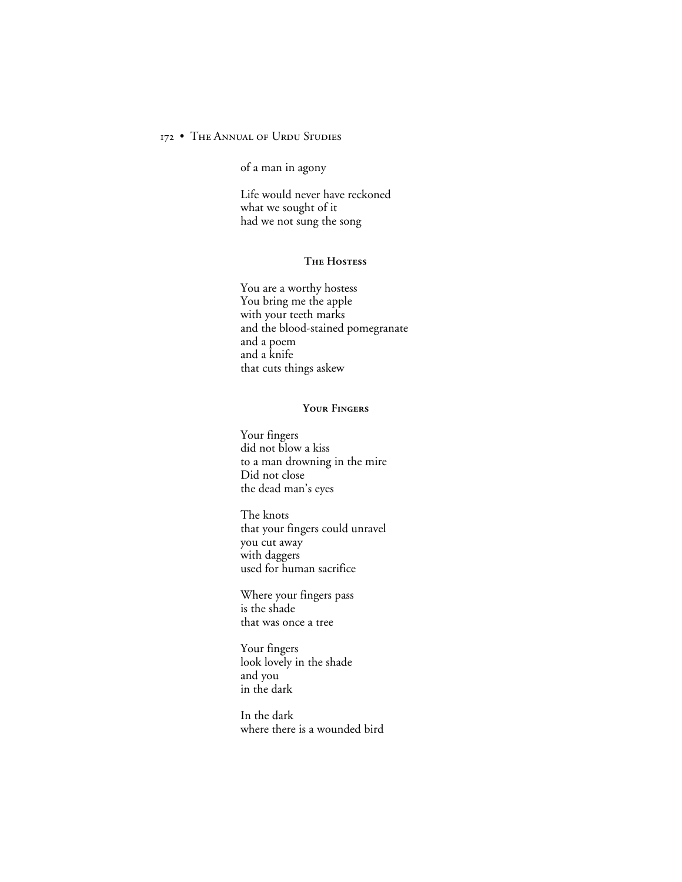of a man in agony

Life would never have reckoned what we sought of it had we not sung the song

#### $T$  **HDSTESS**

You are a worthy hostess You bring me the apple with your teeth marks and the blood-stained pomegranate and a poem and a knife that cuts things askew

## **YOUR FINGERS**

Your fingers did not blow a kiss to a man drowning in the mire Did not close the dead man's eyes

The knots that your fingers could unravel you cut away with daggers used for human sacrifice

Where your fingers pass is the shade that was once a tree

Your fingers look lovely in the shade and you in the dark

In the dark where there is a wounded bird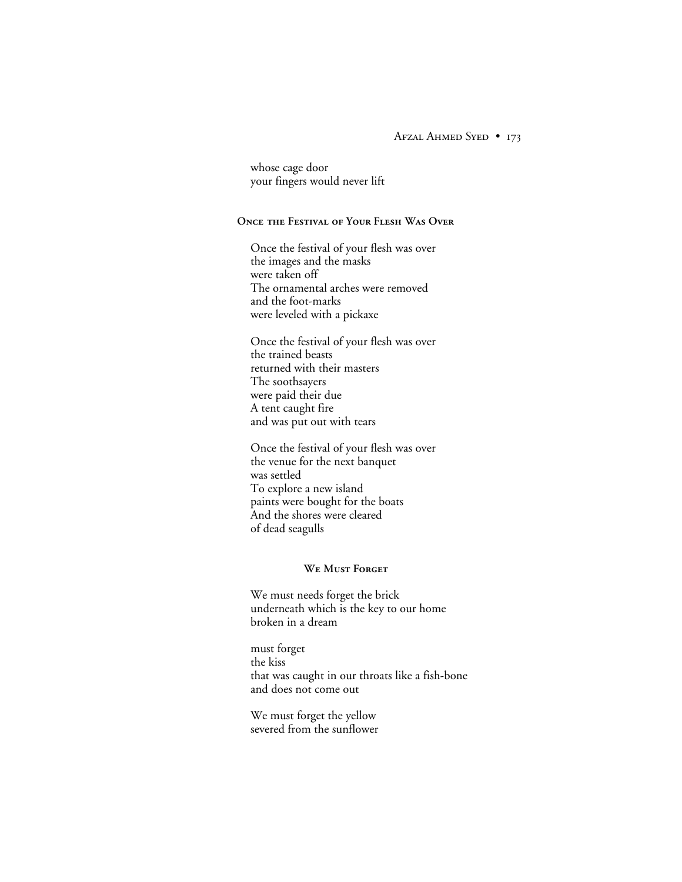whose cage door your fingers would never lift

# ONCE THE FESTIVAL OF YOUR FLESH WAS OVER

Once the festival of your flesh was over the images and the masks were taken off The ornamental arches were removed and the foot-marks were leveled with a pickaxe

Once the festival of your flesh was over the trained beasts returned with their masters The soothsayers were paid their due A tent caught fire and was put out with tears

Once the festival of your flesh was over the venue for the next banquet was settled To explore a new island paints were bought for the boats And the shores were cleared of dead seagulls

# **WE MUST FORGET**

We must needs forget the brick underneath which is the key to our home broken in a dream

must forget the kiss that was caught in our throats like a fish-bone and does not come out

We must forget the yellow severed from the sunflower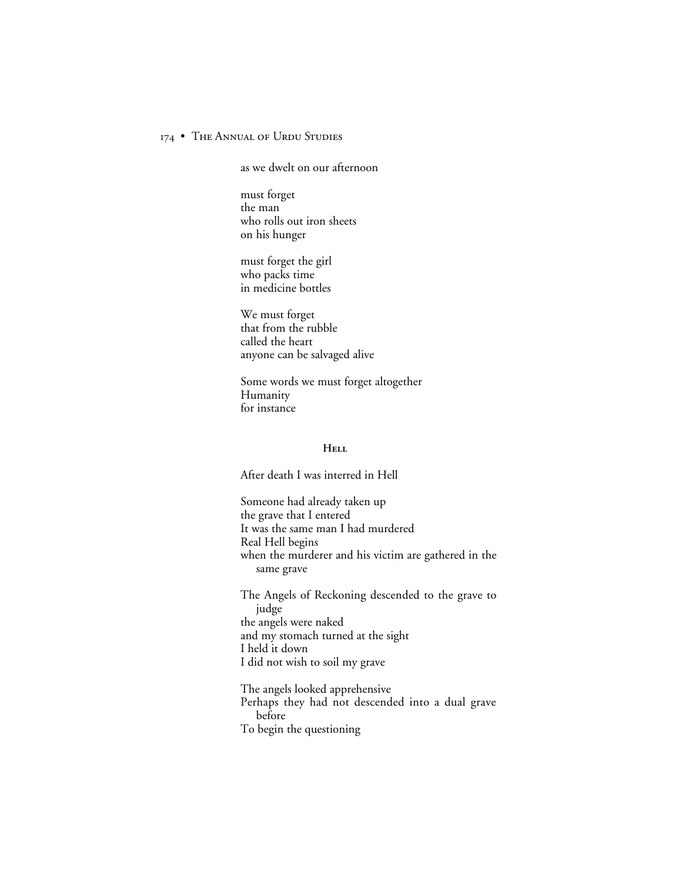as we dwelt on our afternoon

must forget the man who rolls out iron sheets on his hunger

must forget the girl who packs time in medicine bottles

We must forget that from the rubble called the heart anyone can be salvaged alive

Some words we must forget altogether Humanity for instance

#### H<sub>ELL</sub>

After death I was interred in Hell

Someone had already taken up the grave that I entered It was the same man I had murdered Real Hell begins when the murderer and his victim are gathered in the same grave

The Angels of Reckoning descended to the grave to judge the angels were naked and my stomach turned at the sight I held it down I did not wish to soil my grave

The angels looked apprehensive Perhaps they had not descended into a dual grave before To begin the questioning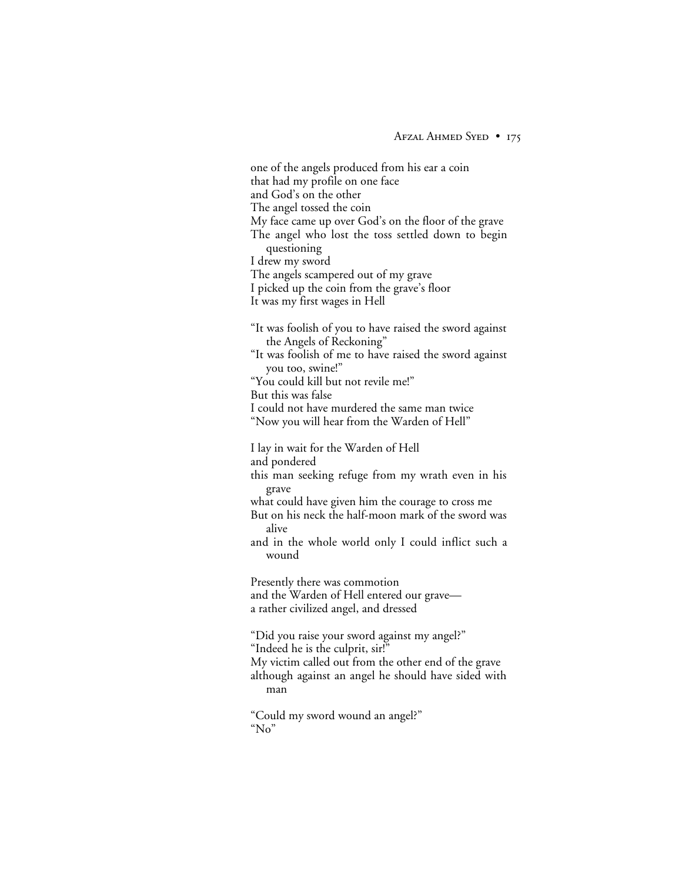AFZAL AHMED SYED . 175

one of the angels produced from his ear a coin that had my profile on one face and God's on the other The angel tossed the coin My face came up over God's on the floor of the grave The angel who lost the toss settled down to begin questioning I drew my sword The angels scampered out of my grave I picked up the coin from the grave's floor It was my first wages in Hell "It was foolish of you to have raised the sword against the Angels of Reckoning" "It was foolish of me to have raised the sword against you too, swine!" "You could kill but not revile me!" But this was false I could not have murdered the same man twice "Now you will hear from the Warden of Hell" I lay in wait for the Warden of Hell and pondered this man seeking refuge from my wrath even in his grave what could have given him the courage to cross me But on his neck the half-moon mark of the sword was alive and in the whole world only I could inflict such a wound Presently there was commotion and the Warden of Hell entered our grave a rather civilized angel, and dressed "Did you raise your sword against my angel?" "Indeed he is the culprit, sir!" My victim called out from the other end of the grave although against an angel he should have sided with man "Could my sword wound an angel?" "No"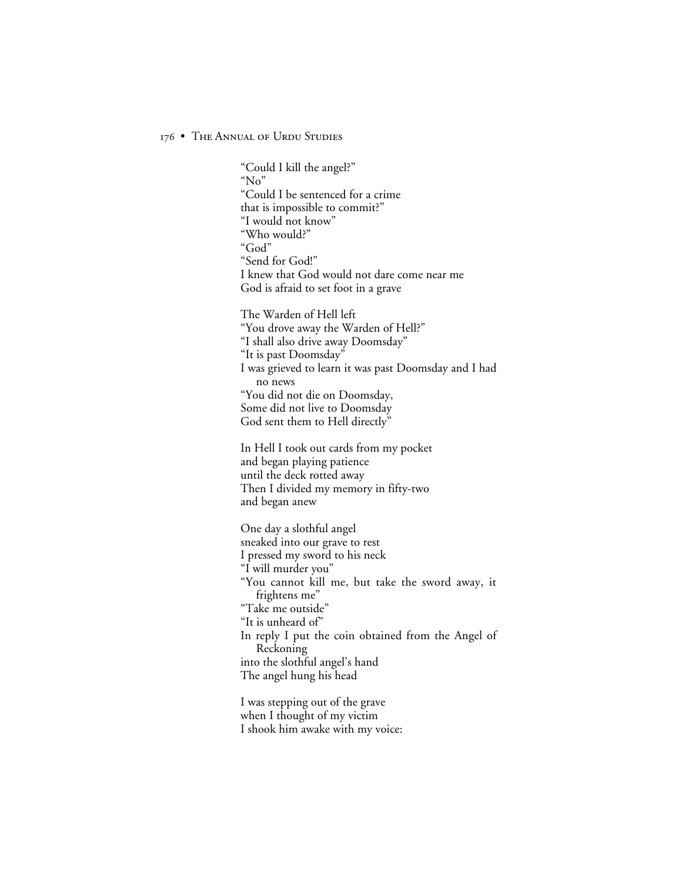"Could I kill the angel?" "No" "Could I be sentenced for a crime that is impossible to commit?" "I would not know" "Who would?" "God" "Send for God!" I knew that God would not dare come near me God is afraid to set foot in a grave

The Warden of Hell left "You drove away the Warden of Hell?" "I shall also drive away Doomsday" "It is past Doomsday" I was grieved to learn it was past Doomsday and I had no news "You did not die on Doomsday, Some did not live to Doomsday God sent them to Hell directly"

In Hell I took out cards from my pocket and began playing patience until the deck rotted away Then I divided my memory in fifty-two and began anew

One day a slothful angel sneaked into our grave to rest I pressed my sword to his neck "I will murder you" "You cannot kill me, but take the sword away, it frightens me" "Take me outside" "It is unheard of" In reply I put the coin obtained from the Angel of Reckoning into the slothful angel's hand The angel hung his head

I was stepping out of the grave when I thought of my victim I shook him awake with my voice: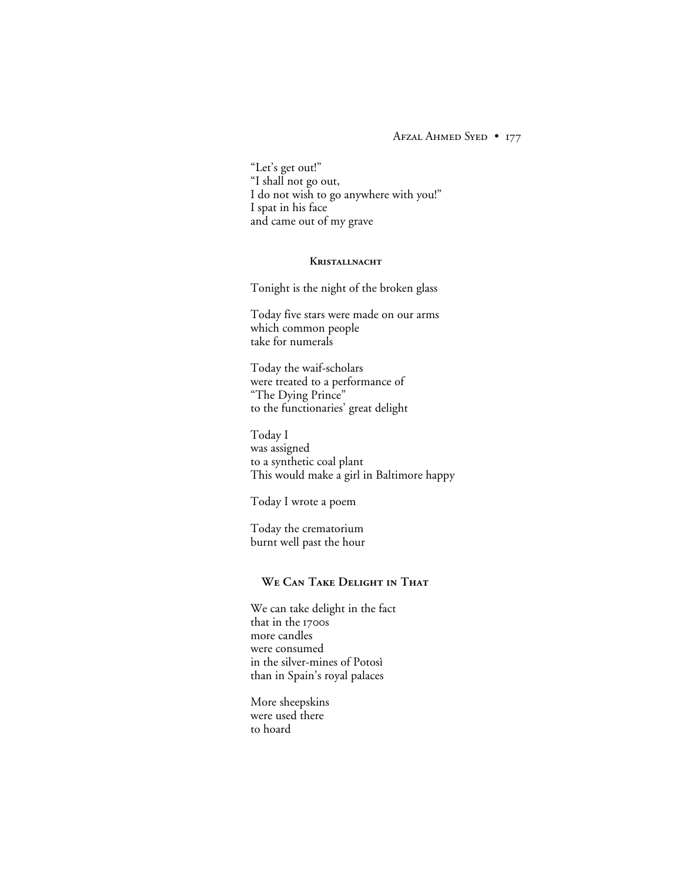"Let's get out!" "I shall not go out, I do not wish to go anywhere with you!" I spat in his face and came out of my grave

#### **KRISTALLNACHT**

Tonight is the night of the broken glass

Today five stars were made on our arms which common people take for numerals

Today the waif-scholars were treated to a performance of "The Dying Prince" to the functionaries' great delight

Today I was assigned to a synthetic coal plant This would make a girl in Baltimore happy

Today I wrote a poem

Today the crematorium burnt well past the hour

# **WE CAN TAKE DELIGHT IN THAT**

We can take delight in the fact that in the 1700s more candles were consumed in the silver-mines of Potosì than in Spain's royal palaces

More sheepskins were used there to hoard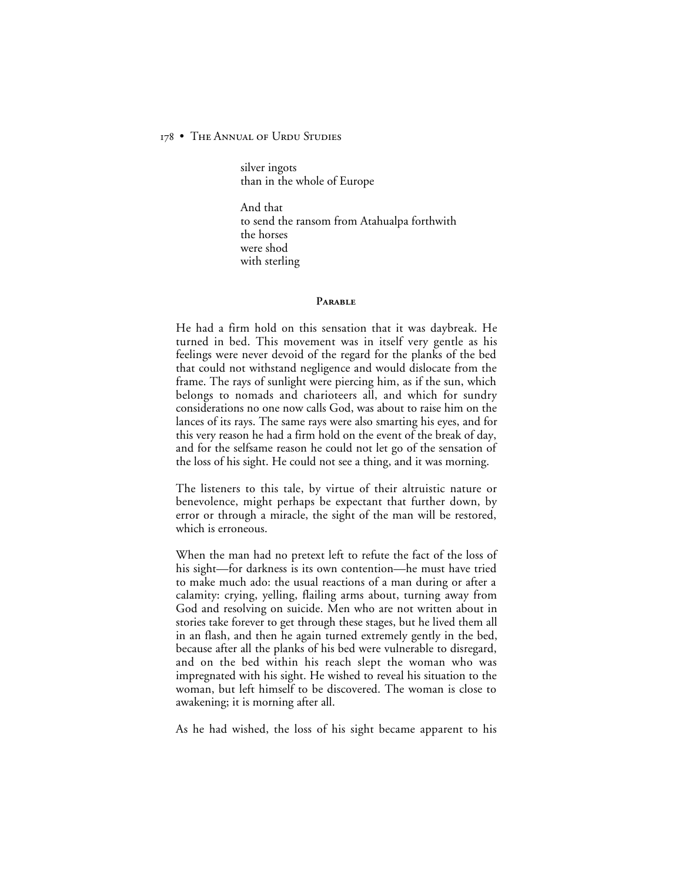silver ingots than in the whole of Europe

And that to send the ransom from Atahualpa forthwith the horses were shod with sterling

#### PARABLE

He had a firm hold on this sensation that it was daybreak. He turned in bed. This movement was in itself very gentle as his feelings were never devoid of the regard for the planks of the bed that could not withstand negligence and would dislocate from the frame. The rays of sunlight were piercing him, as if the sun, which belongs to nomads and charioteers all, and which for sundry considerations no one now calls God, was about to raise him on the lances of its rays. The same rays were also smarting his eyes, and for this very reason he had a firm hold on the event of the break of day, and for the selfsame reason he could not let go of the sensation of the loss of his sight. He could not see a thing, and it was morning.

The listeners to this tale, by virtue of their altruistic nature or benevolence, might perhaps be expectant that further down, by error or through a miracle, the sight of the man will be restored, which is erroneous.

When the man had no pretext left to refute the fact of the loss of his sight—for darkness is its own contention—he must have tried to make much ado: the usual reactions of a man during or after a calamity: crying, yelling, flailing arms about, turning away from God and resolving on suicide. Men who are not written about in stories take forever to get through these stages, but he lived them all in an flash, and then he again turned extremely gently in the bed, because after all the planks of his bed were vulnerable to disregard, and on the bed within his reach slept the woman who was impregnated with his sight. He wished to reveal his situation to the woman, but left himself to be discovered. The woman is close to awakening; it is morning after all.

As he had wished, the loss of his sight became apparent to his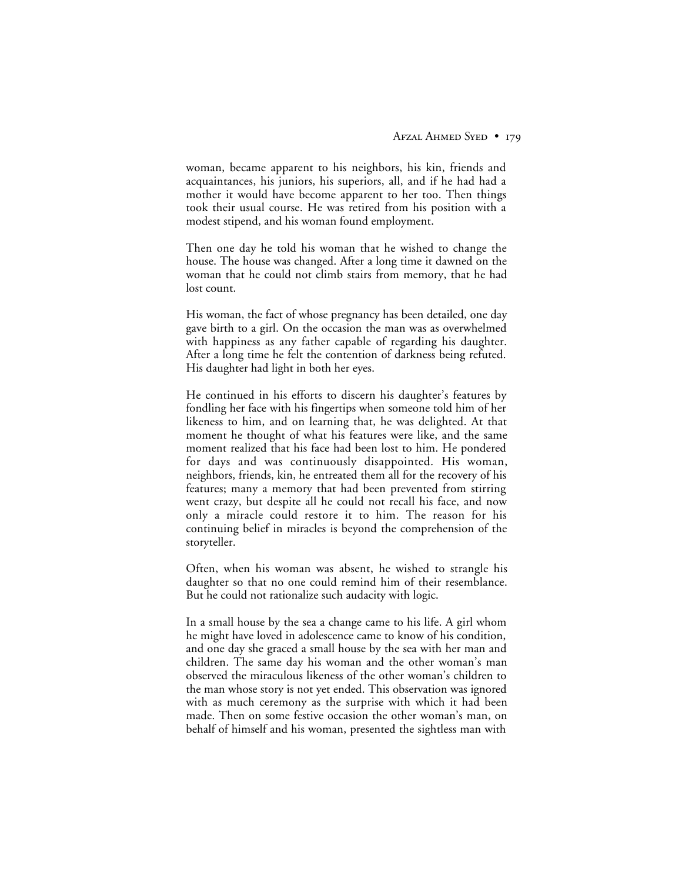woman, became apparent to his neighbors, his kin, friends and acquaintances, his juniors, his superiors, all, and if he had had a mother it would have become apparent to her too. Then things took their usual course. He was retired from his position with a modest stipend, and his woman found employment.

Then one day he told his woman that he wished to change the house. The house was changed. After a long time it dawned on the woman that he could not climb stairs from memory, that he had lost count.

His woman, the fact of whose pregnancy has been detailed, one day gave birth to a girl. On the occasion the man was as overwhelmed with happiness as any father capable of regarding his daughter. After a long time he felt the contention of darkness being refuted. His daughter had light in both her eyes.

He continued in his efforts to discern his daughter's features by fondling her face with his fingertips when someone told him of her likeness to him, and on learning that, he was delighted. At that moment he thought of what his features were like, and the same moment realized that his face had been lost to him. He pondered for days and was continuously disappointed. His woman, neighbors, friends, kin, he entreated them all for the recovery of his features; many a memory that had been prevented from stirring went crazy, but despite all he could not recall his face, and now only a miracle could restore it to him. The reason for his continuing belief in miracles is beyond the comprehension of the storyteller.

Often, when his woman was absent, he wished to strangle his daughter so that no one could remind him of their resemblance. But he could not rationalize such audacity with logic.

In a small house by the sea a change came to his life. A girl whom he might have loved in adolescence came to know of his condition, and one day she graced a small house by the sea with her man and children. The same day his woman and the other woman's man observed the miraculous likeness of the other woman's children to the man whose story is not yet ended. This observation was ignored with as much ceremony as the surprise with which it had been made. Then on some festive occasion the other woman's man, on behalf of himself and his woman, presented the sightless man with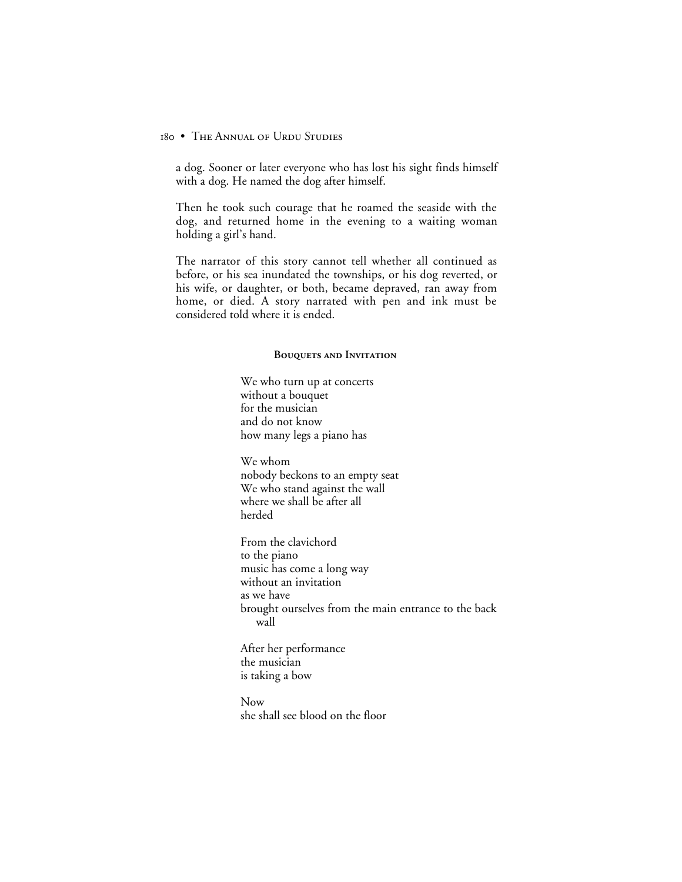a dog. Sooner or later everyone who has lost his sight finds himself with a dog. He named the dog after himself.

Then he took such courage that he roamed the seaside with the dog, and returned home in the evening to a waiting woman holding a girl's hand.

The narrator of this story cannot tell whether all continued as before, or his sea inundated the townships, or his dog reverted, or his wife, or daughter, or both, became depraved, ran away from home, or died. A story narrated with pen and ink must be considered told where it is ended.

#### **BOUQUETS AND INVITATION**

We who turn up at concerts without a bouquet for the musician and do not know how many legs a piano has

We whom nobody beckons to an empty seat We who stand against the wall where we shall be after all herded

From the clavichord to the piano music has come a long way without an invitation as we have brought ourselves from the main entrance to the back wall

After her performance the musician is taking a bow

Now she shall see blood on the floor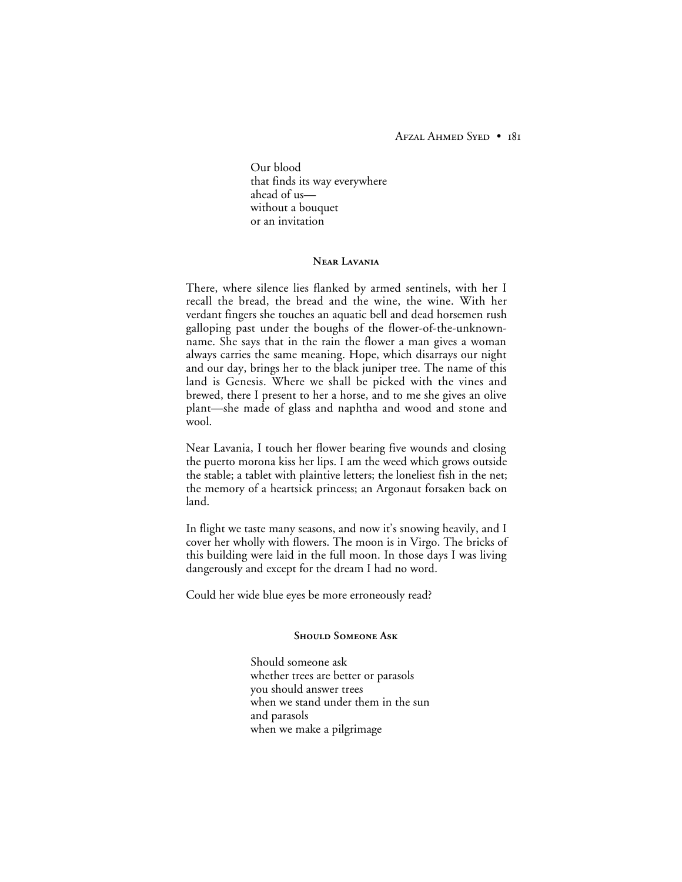Our blood that finds its way everywhere ahead of us without a bouquet or an invitation

#### **NEAR LAVANIA**

There, where silence lies flanked by armed sentinels, with her I recall the bread, the bread and the wine, the wine. With her verdant fingers she touches an aquatic bell and dead horsemen rush galloping past under the boughs of the flower-of-the-unknownname. She says that in the rain the flower a man gives a woman always carries the same meaning. Hope, which disarrays our night and our day, brings her to the black juniper tree. The name of this land is Genesis. Where we shall be picked with the vines and brewed, there I present to her a horse, and to me she gives an olive plant—she made of glass and naphtha and wood and stone and wool.

Near Lavania, I touch her flower bearing five wounds and closing the puerto morona kiss her lips. I am the weed which grows outside the stable; a tablet with plaintive letters; the loneliest fish in the net; the memory of a heartsick princess; an Argonaut forsaken back on land.

In flight we taste many seasons, and now it's snowing heavily, and I cover her wholly with flowers. The moon is in Virgo. The bricks of this building were laid in the full moon. In those days I was living dangerously and except for the dream I had no word.

Could her wide blue eyes be more erroneously read?

#### **SHOULD SOMEONE ASK**

Should someone ask whether trees are better or parasols you should answer trees when we stand under them in the sun and parasols when we make a pilgrimage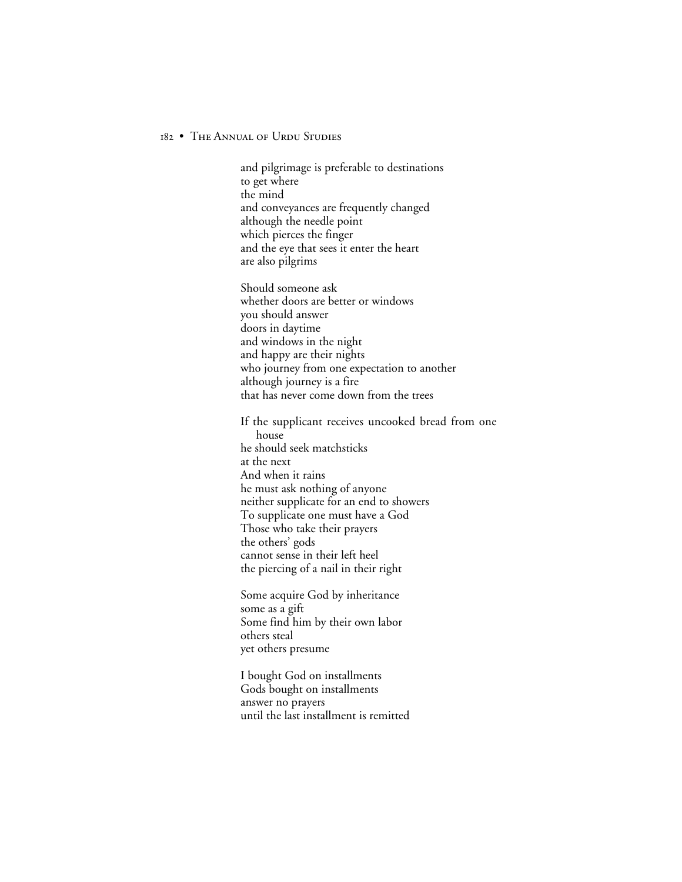and pilgrimage is preferable to destinations to get where the mind and conveyances are frequently changed although the needle point which pierces the finger and the eye that sees it enter the heart are also pilgrims Should someone ask whether doors are better or windows you should answer doors in daytime and windows in the night and happy are their nights who journey from one expectation to another although journey is a fire that has never come down from the trees If the supplicant receives uncooked bread from one house he should seek matchsticks

at the next And when it rains he must ask nothing of anyone neither supplicate for an end to showers To supplicate one must have a God Those who take their prayers the others' gods cannot sense in their left heel the piercing of a nail in their right

Some acquire God by inheritance some as a gift Some find him by their own labor others steal yet others presume

I bought God on installments Gods bought on installments answer no prayers until the last installment is remitted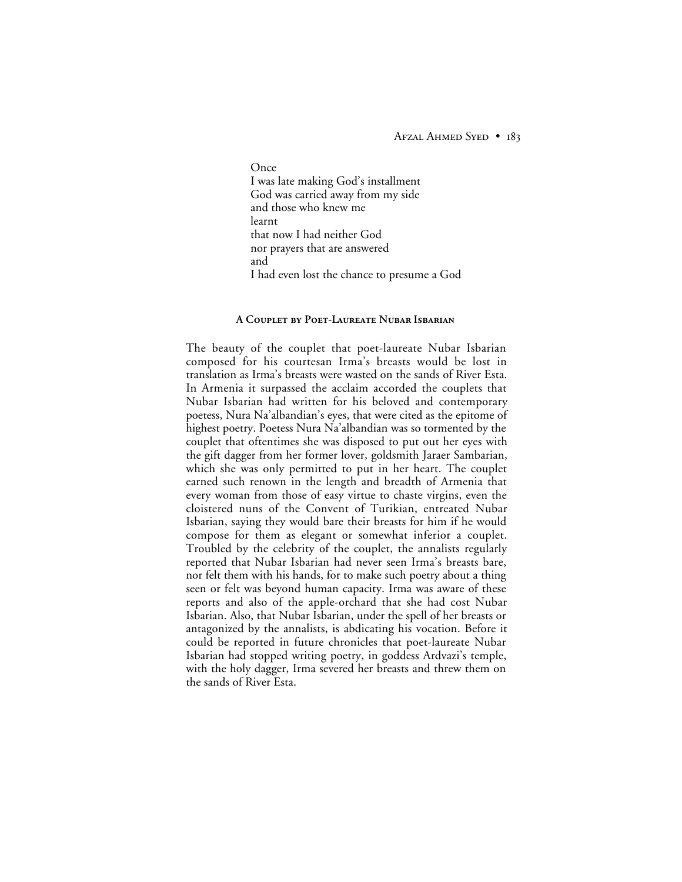Once I was late making God's installment God was carried away from my side and those who knew me learnt that now I had neither God nor prayers that are answered and I had even lost the chance to presume a God

## A COUPLET BY POET-LAUREATE NUBAR ISBARIAN

The beauty of the couplet that poet-laureate Nubar Isbarian composed for his courtesan Irma's breasts would be lost in translation as Irma's breasts were wasted on the sands of River Esta. In Armenia it surpassed the acclaim accorded the couplets that Nubar Isbarian had written for his beloved and contemporary poetess, Nura Na'albandian's eyes, that were cited as the epitome of highest poetry. Poetess Nura Na'albandian was so tormented by the couplet that oftentimes she was disposed to put out her eyes with the gift dagger from her former lover, goldsmith Jaraer Sambarian, which she was only permitted to put in her heart. The couplet earned such renown in the length and breadth of Armenia that every woman from those of easy virtue to chaste virgins, even the cloistered nuns of the Convent of Turikian, entreated Nubar Isbarian, saying they would bare their breasts for him if he would compose for them as elegant or somewhat inferior a couplet. Troubled by the celebrity of the couplet, the annalists regularly reported that Nubar Isbarian had never seen Irma's breasts bare, nor felt them with his hands, for to make such poetry about a thing seen or felt was beyond human capacity. Irma was aware of these reports and also of the apple-orchard that she had cost Nubar Isbarian. Also, that Nubar Isbarian, under the spell of her breasts or antagonized by the annalists, is abdicating his vocation. Before it could be reported in future chronicles that poet-laureate Nubar Isbarian had stopped writing poetry, in goddess Ardvazi's temple, with the holy dagger, Irma severed her breasts and threw them on the sands of River Esta.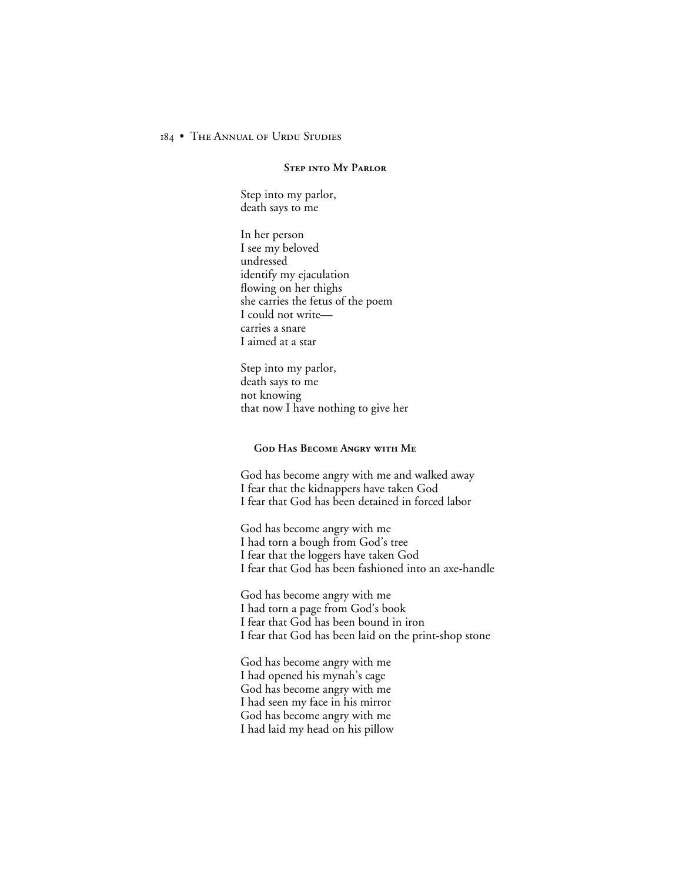#### **STEP INTO MY PARLOR**

Step into my parlor, death says to me

In her person I see my beloved undressed identify my ejaculation flowing on her thighs she carries the fetus of the poem I could not write carries a snare I aimed at a star

Step into my parlor, death says to me not knowing that now I have nothing to give her

## **GOD HAS BECOME ANGRY WITH ME**

God has become angry with me and walked away I fear that the kidnappers have taken God I fear that God has been detained in forced labor

God has become angry with me I had torn a bough from God's tree I fear that the loggers have taken God I fear that God has been fashioned into an axe-handle

God has become angry with me I had torn a page from God's book I fear that God has been bound in iron I fear that God has been laid on the print-shop stone

God has become angry with me I had opened his mynah's cage God has become angry with me I had seen my face in his mirror God has become angry with me I had laid my head on his pillow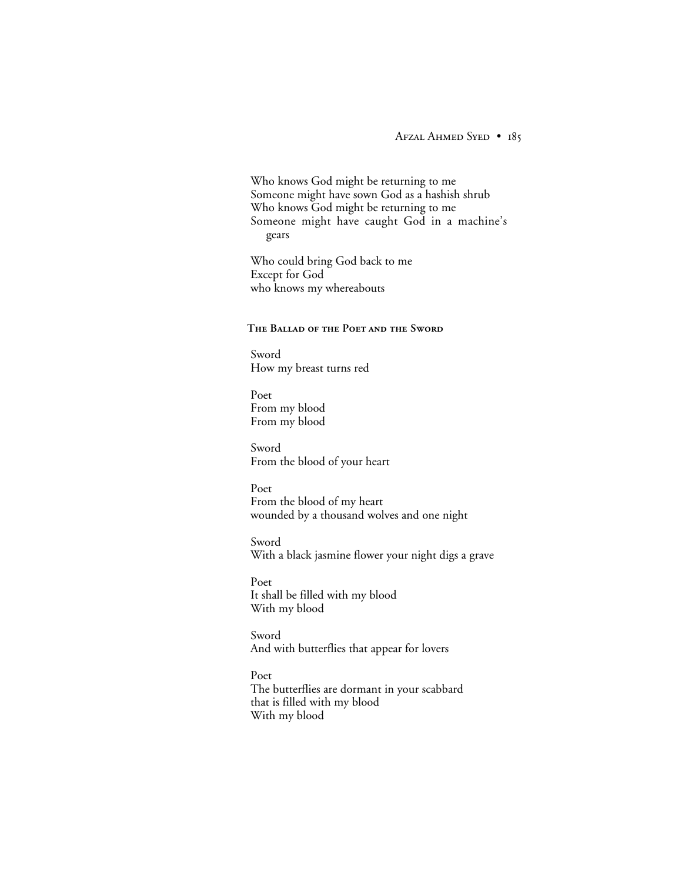AFZAL AHMED SYED . 185

Who knows God might be returning to me Someone might have sown God as a hashish shrub Who knows God might be returning to me Someone might have caught God in a machine's gears

Who could bring God back to me Except for God who knows my whereabouts

## THE BALLAD OF THE POET AND THE SWORD

Sword How my breast turns red

Poet From my blood From my blood

Sword From the blood of your heart

Poet

From the blood of my heart wounded by a thousand wolves and one night

Sword With a black jasmine flower your night digs a grave

Poet It shall be filled with my blood With my blood

Sword And with butterflies that appear for lovers

Poet The butterflies are dormant in your scabbard that is filled with my blood With my blood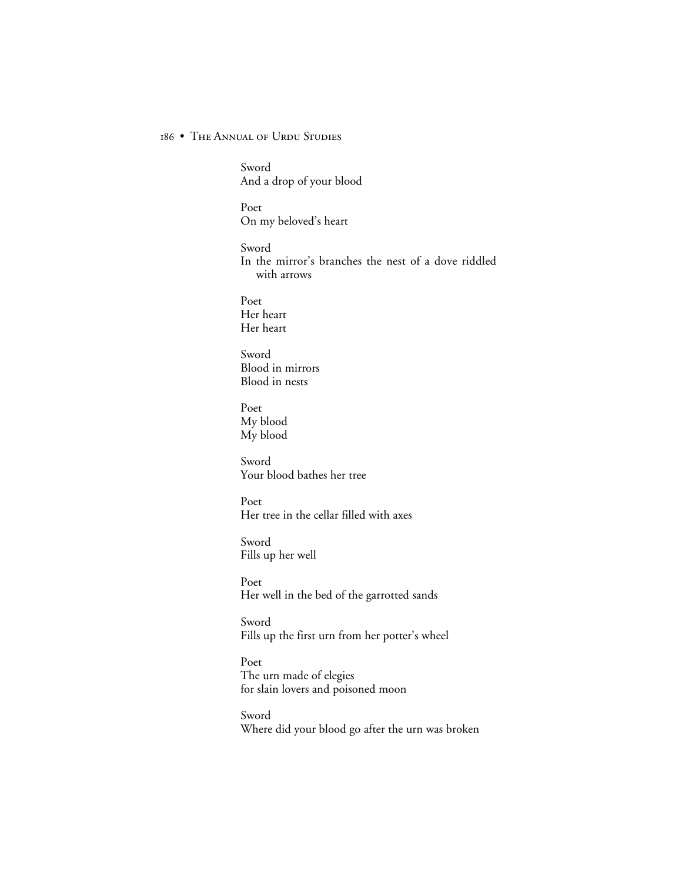Sword And a drop of your blood

Poet On my beloved's heart

Sword In the mirror's branches the nest of a dove riddled with arrows

Poet Her heart Her heart

Sword Blood in mirrors Blood in nests

Poet My blood My blood

Sword Your blood bathes her tree

Poet Her tree in the cellar filled with axes

Sword Fills up her well

Poet Her well in the bed of the garrotted sands

Sword Fills up the first urn from her potter's wheel

Poet The urn made of elegies for slain lovers and poisoned moon

Sword Where did your blood go after the urn was broken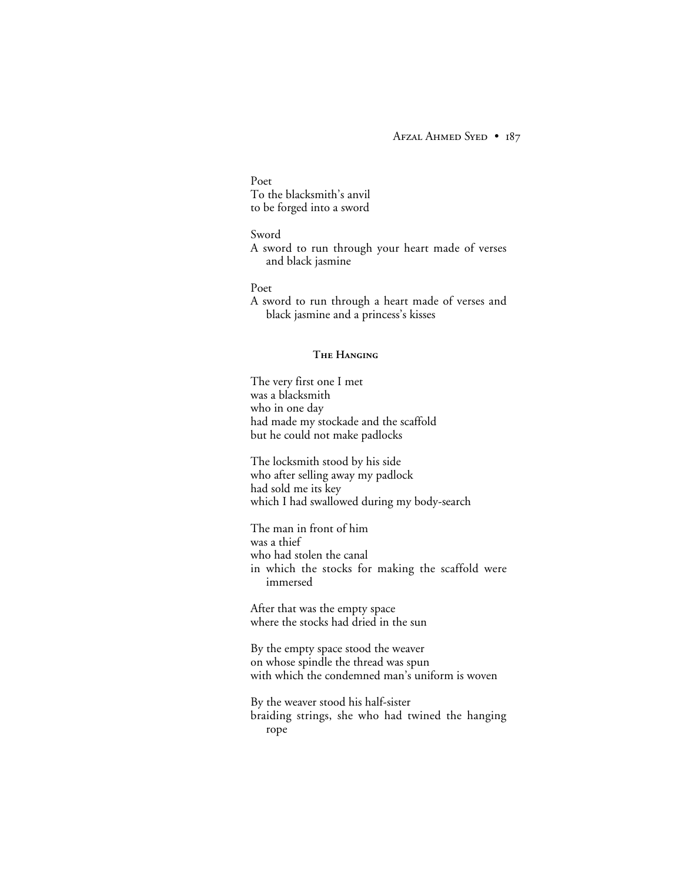Poet To the blacksmith's anvil to be forged into a sword

#### Sword

A sword to run through your heart made of verses and black jasmine

Poet

A sword to run through a heart made of verses and black jasmine and a princess's kisses

## $T$ **HE HANGING**

The very first one I met was a blacksmith who in one day had made my stockade and the scaffold but he could not make padlocks

The locksmith stood by his side who after selling away my padlock had sold me its key which I had swallowed during my body-search

The man in front of him was a thief who had stolen the canal in which the stocks for making the scaffold were immersed

After that was the empty space where the stocks had dried in the sun

By the empty space stood the weaver on whose spindle the thread was spun with which the condemned man's uniform is woven

By the weaver stood his half-sister braiding strings, she who had twined the hanging rope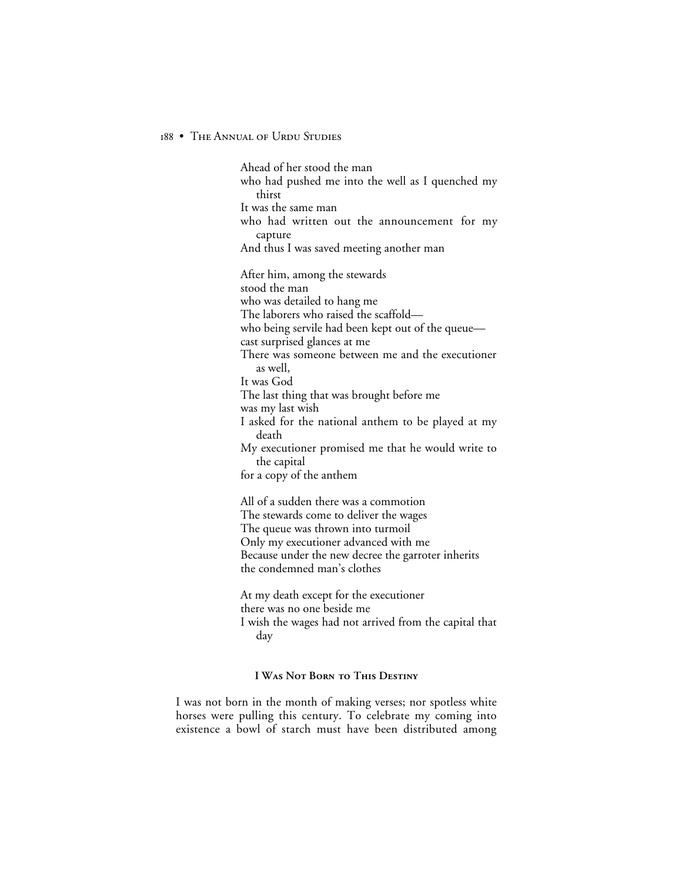Ahead of her stood the man who had pushed me into the well as I quenched my thirst It was the same man who had written out the announcement for my capture And thus I was saved meeting another man After him, among the stewards stood the man who was detailed to hang me The laborers who raised the scaffold who being servile had been kept out of the queue cast surprised glances at me There was someone between me and the executioner as well, It was God The last thing that was brought before me was my last wish I asked for the national anthem to be played at my death My executioner promised me that he would write to the capital for a copy of the anthem All of a sudden there was a commotion The stewards come to deliver the wages The queue was thrown into turmoil Only my executioner advanced with me Because under the new decree the garroter inherits the condemned man's clothes At my death except for the executioner there was no one beside me I wish the wages had not arrived from the capital that

day

#### **I WAS NOT BORN TO THIS DESTINY**

I was not born in the month of making verses; nor spotless white horses were pulling this century. To celebrate my coming into existence a bowl of starch must have been distributed among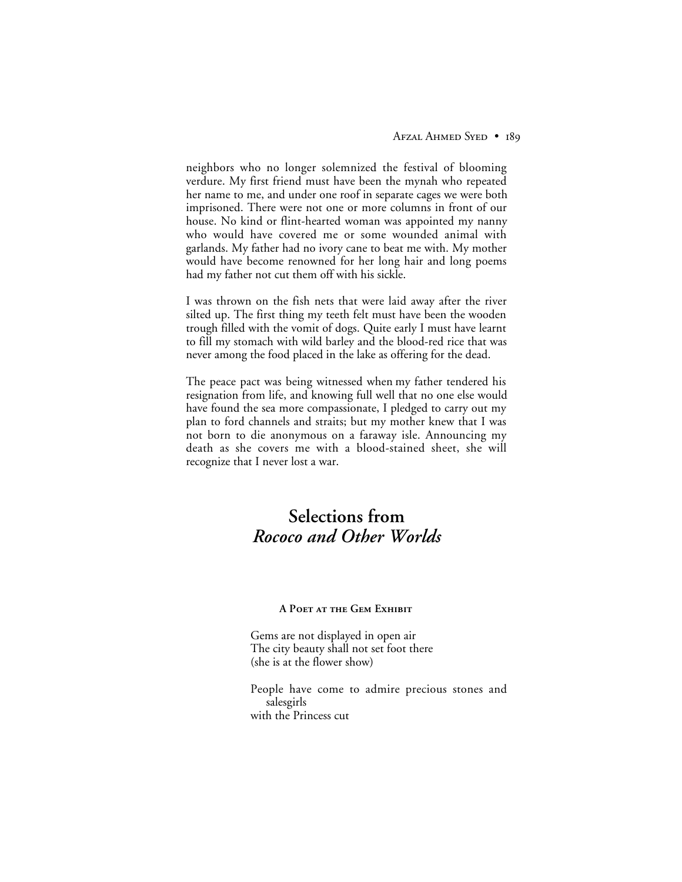neighbors who no longer solemnized the festival of blooming verdure. My first friend must have been the mynah who repeated her name to me, and under one roof in separate cages we were both imprisoned. There were not one or more columns in front of our house. No kind or flint-hearted woman was appointed my nanny who would have covered me or some wounded animal with garlands. My father had no ivory cane to beat me with. My mother would have become renowned for her long hair and long poems had my father not cut them off with his sickle.

I was thrown on the fish nets that were laid away after the river silted up. The first thing my teeth felt must have been the wooden trough filled with the vomit of dogs. Quite early I must have learnt to fill my stomach with wild barley and the blood-red rice that was never among the food placed in the lake as offering for the dead.

The peace pact was being witnessed when my father tendered his resignation from life, and knowing full well that no one else would have found the sea more compassionate, I pledged to carry out my plan to ford channels and straits; but my mother knew that I was not born to die anonymous on a faraway isle. Announcing my death as she covers me with a blood-stained sheet, she will recognize that I never lost a war.

# **Selections from** *Rococo and Other Worlds*

#### **A POET AT THE GEM EXHIBIT**

Gems are not displayed in open air The city beauty shall not set foot there (she is at the flower show)

People have come to admire precious stones and salesgirls with the Princess cut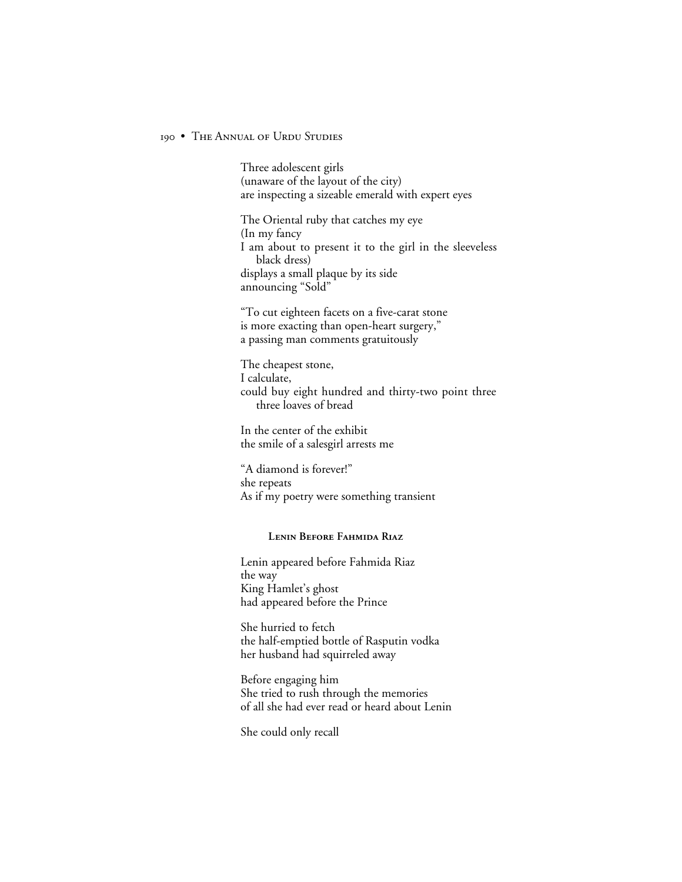Three adolescent girls (unaware of the layout of the city) are inspecting a sizeable emerald with expert eyes

The Oriental ruby that catches my eye (In my fancy I am about to present it to the girl in the sleeveless black dress) displays a small plaque by its side announcing "Sold"

"To cut eighteen facets on a five-carat stone is more exacting than open-heart surgery," a passing man comments gratuitously

The cheapest stone, I calculate, could buy eight hundred and thirty-two point three three loaves of bread

In the center of the exhibit the smile of a salesgirl arrests me

"A diamond is forever!" she repeats As if my poetry were something transient

#### LENIN BEFORE FAHMIDA RIAZ

Lenin appeared before Fahmida Riaz the way King Hamlet's ghost had appeared before the Prince

She hurried to fetch the half-emptied bottle of Rasputin vodka her husband had squirreled away

Before engaging him She tried to rush through the memories of all she had ever read or heard about Lenin

She could only recall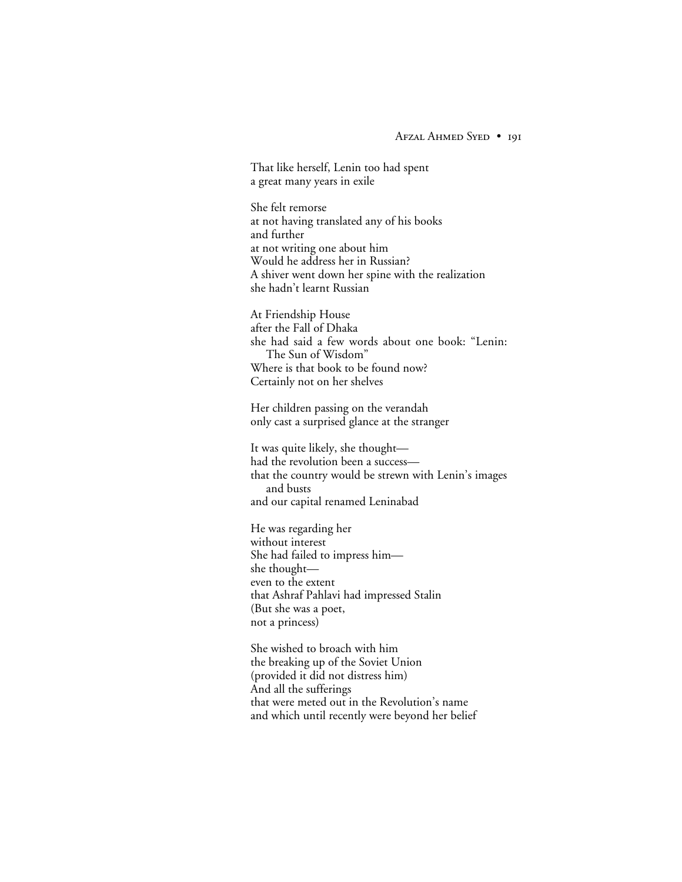AFZAL AHMED SYED . 191

That like herself, Lenin too had spent a great many years in exile

She felt remorse at not having translated any of his books and further at not writing one about him Would he address her in Russian? A shiver went down her spine with the realization she hadn't learnt Russian

At Friendship House after the Fall of Dhaka she had said a few words about one book: "Lenin: The Sun of Wisdom" Where is that book to be found now? Certainly not on her shelves

Her children passing on the verandah only cast a surprised glance at the stranger

It was quite likely, she thought had the revolution been a success that the country would be strewn with Lenin's images and busts and our capital renamed Leninabad

He was regarding her without interest She had failed to impress him she thought even to the extent that Ashraf Pahlavi had impressed Stalin (But she was a poet, not a princess)

She wished to broach with him the breaking up of the Soviet Union (provided it did not distress him) And all the sufferings that were meted out in the Revolution's name and which until recently were beyond her belief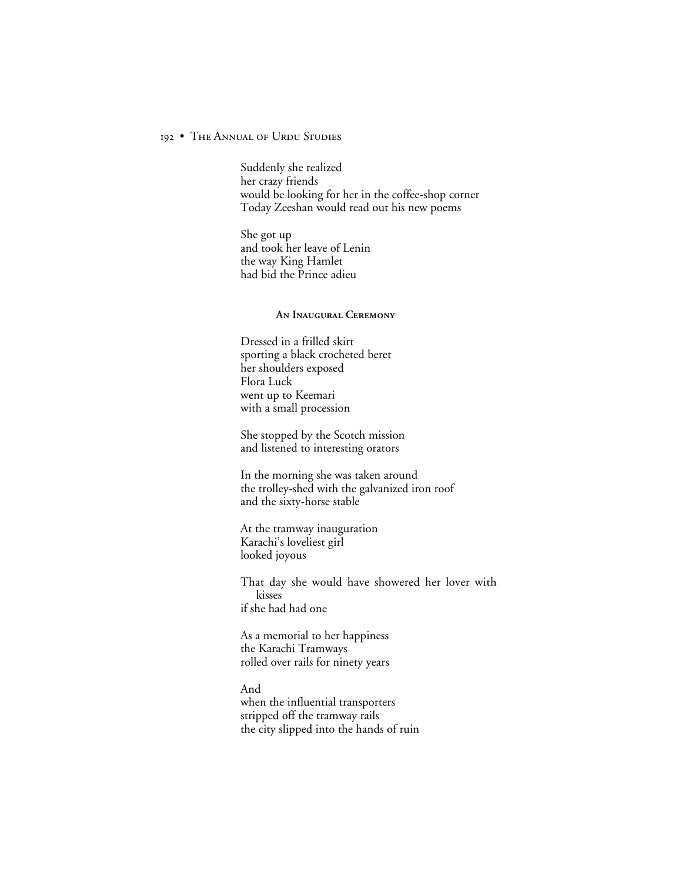Suddenly she realized her crazy friends would be looking for her in the coffee-shop corner Today Zeeshan would read out his new poems

She got up and took her leave of Lenin the way King Hamlet had bid the Prince adieu

#### AN **INAUGURAL CEREMONY**

Dressed in a frilled skirt sporting a black crocheted beret her shoulders exposed Flora Luck went up to Keemari with a small procession

She stopped by the Scotch mission and listened to interesting orators

In the morning she was taken around the trolley-shed with the galvanized iron roof and the sixty-horse stable

At the tramway inauguration Karachi's loveliest girl looked joyous

That day she would have showered her lover with kisses if she had had one

As a memorial to her happiness the Karachi Tramways rolled over rails for ninety years

And when the influential transporters stripped off the tramway rails the city slipped into the hands of ruin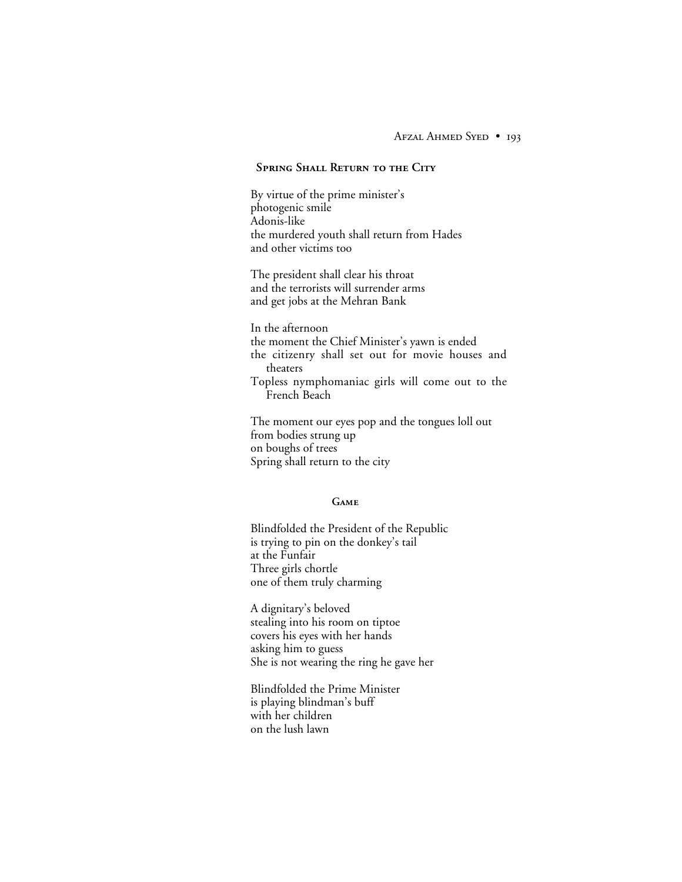#### **SPRING SHALL RETURN TO THE CITY**

By virtue of the prime minister's photogenic smile Adonis-like the murdered youth shall return from Hades and other victims too

The president shall clear his throat and the terrorists will surrender arms and get jobs at the Mehran Bank

In the afternoon the moment the Chief Minister's yawn is ended the citizenry shall set out for movie houses and theaters Topless nymphomaniac girls will come out to the French Beach

The moment our eyes pop and the tongues loll out from bodies strung up on boughs of trees Spring shall return to the city

#### GAME

Blindfolded the President of the Republic is trying to pin on the donkey's tail at the Funfair Three girls chortle one of them truly charming

A dignitary's beloved stealing into his room on tiptoe covers his eyes with her hands asking him to guess She is not wearing the ring he gave her

Blindfolded the Prime Minister is playing blindman's buff with her children on the lush lawn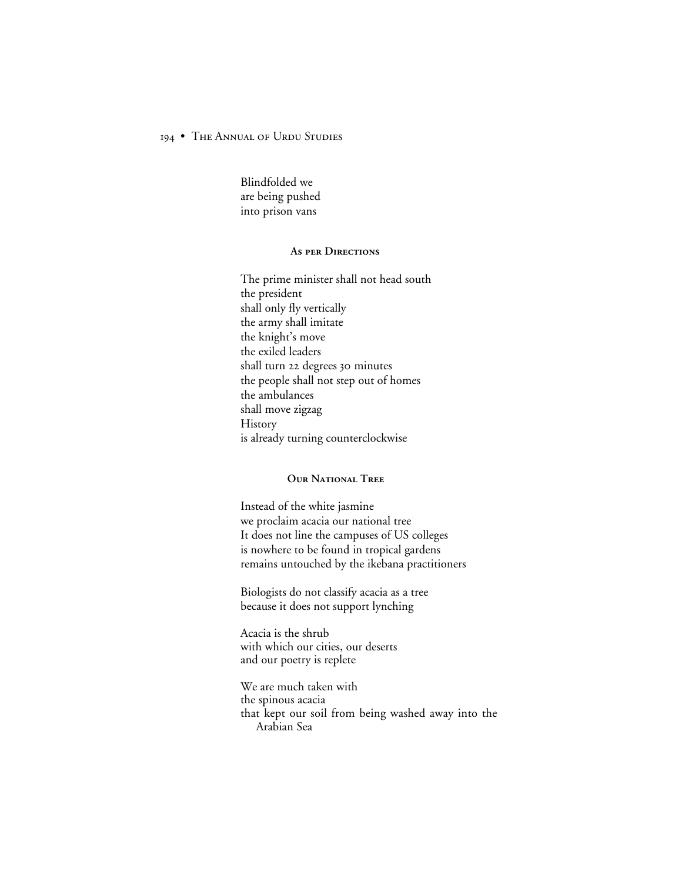Blindfolded we are being pushed into prison vans

## A<sub>s</sub> per Directions

The prime minister shall not head south the president shall only fly vertically the army shall imitate the knight's move the exiled leaders shall turn 22 degrees 30 minutes the people shall not step out of homes the ambulances shall move zigzag History is already turning counterclockwise

## OUR NATIONAL TREE

Instead of the white jasmine we proclaim acacia our national tree It does not line the campuses of US colleges is nowhere to be found in tropical gardens remains untouched by the ikebana practitioners

Biologists do not classify acacia as a tree because it does not support lynching

Acacia is the shrub with which our cities, our deserts and our poetry is replete

We are much taken with the spinous acacia that kept our soil from being washed away into the Arabian Sea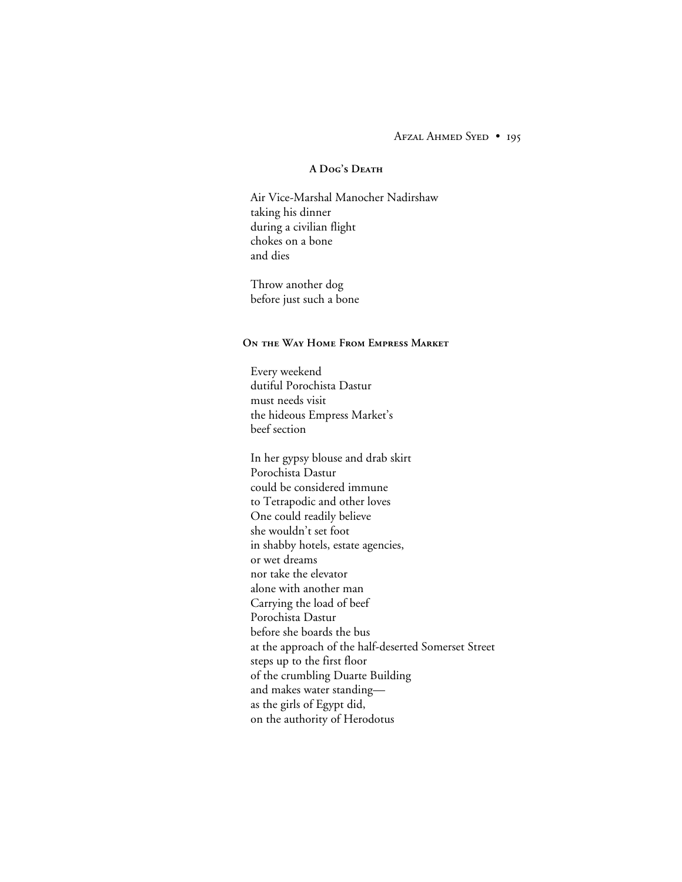# AFZAL AHMED SYED . 195

## **A D' D**

Air Vice-Marshal Manocher Nadirshaw taking his dinner during a civilian flight chokes on a bone and dies

Throw another dog before just such a bone

# ON THE WAY HOME FROM EMPRESS MARKET

Every weekend dutiful Porochista Dastur must needs visit the hideous Empress Market's beef section

In her gypsy blouse and drab skirt Porochista Dastur could be considered immune to Tetrapodic and other loves One could readily believe she wouldn't set foot in shabby hotels, estate agencies, or wet dreams nor take the elevator alone with another man Carrying the load of beef Porochista Dastur before she boards the bus at the approach of the half-deserted Somerset Street steps up to the first floor of the crumbling Duarte Building and makes water standing as the girls of Egypt did, on the authority of Herodotus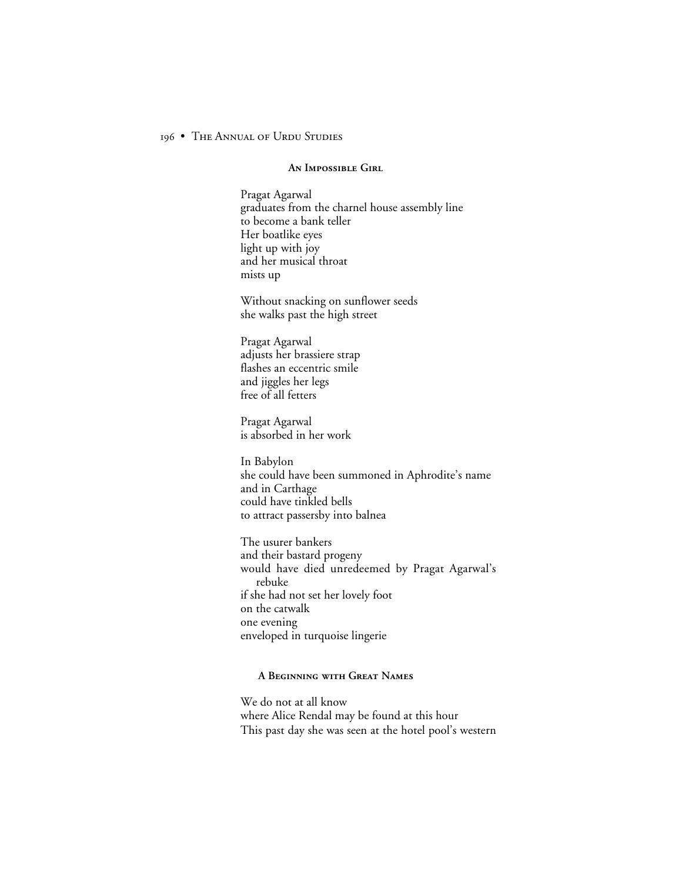## **A**<sup>N</sup> IMPOSSIBLE GIRL

Pragat Agarwal graduates from the charnel house assembly line to become a bank teller Her boatlike eyes light up with joy and her musical throat mists up

Without snacking on sunflower seeds she walks past the high street

Pragat Agarwal adjusts her brassiere strap flashes an eccentric smile and jiggles her legs free of all fetters

Pragat Agarwal is absorbed in her work

In Babylon she could have been summoned in Aphrodite's name and in Carthage could have tinkled bells to attract passersby into balnea

The usurer bankers and their bastard progeny would have died unredeemed by Pragat Agarwal's rebuke if she had not set her lovely foot on the catwalk one evening enveloped in turquoise lingerie

## **A BEGINNING WITH GREAT NAMES**

We do not at all know where Alice Rendal may be found at this hour This past day she was seen at the hotel pool's western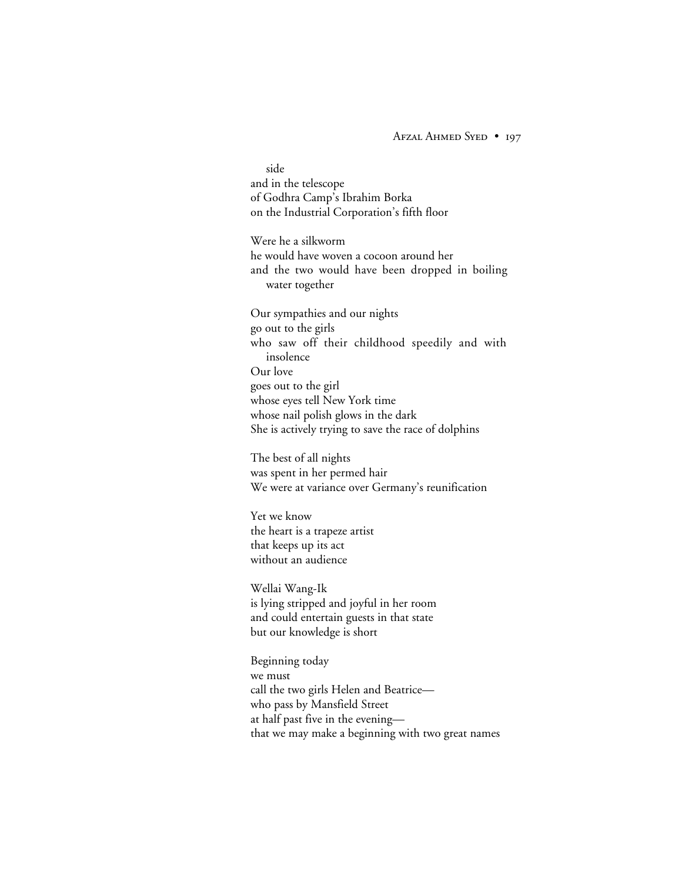AFZAL AHMED SYED . 197

side and in the telescope of Godhra Camp's Ibrahim Borka on the Industrial Corporation's fifth floor

Were he a silkworm he would have woven a cocoon around her and the two would have been dropped in boiling water together

Our sympathies and our nights go out to the girls who saw off their childhood speedily and with insolence Our love goes out to the girl whose eyes tell New York time whose nail polish glows in the dark She is actively trying to save the race of dolphins

The best of all nights was spent in her permed hair We were at variance over Germany's reunification

Yet we know the heart is a trapeze artist that keeps up its act without an audience

Wellai Wang-Ik is lying stripped and joyful in her room and could entertain guests in that state but our knowledge is short

Beginning today we must call the two girls Helen and Beatrice who pass by Mansfield Street at half past five in the evening that we may make a beginning with two great names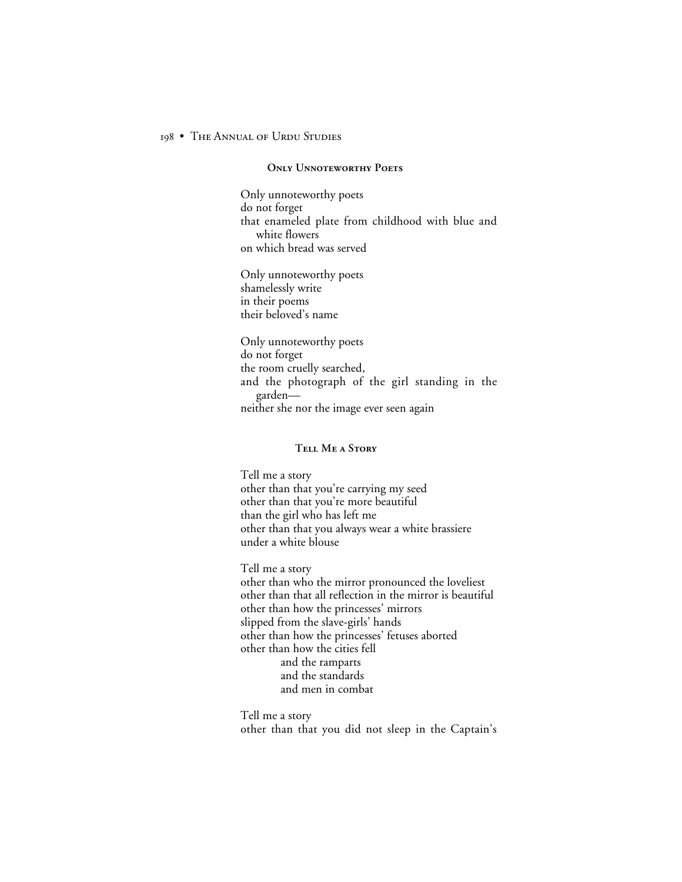#### **ONLY UNNOTEWORTHY POETS**

Only unnoteworthy poets do not forget that enameled plate from childhood with blue and white flowers on which bread was served

Only unnoteworthy poets shamelessly write in their poems their beloved's name

Only unnoteworthy poets do not forget the room cruelly searched, and the photograph of the girl standing in the garden neither she nor the image ever seen again

#### **TELL ME A STORY**

Tell me a story other than that you're carrying my seed other than that you're more beautiful than the girl who has left me other than that you always wear a white brassiere under a white blouse

Tell me a story other than who the mirror pronounced the loveliest other than that all reflection in the mirror is beautiful other than how the princesses' mirrors slipped from the slave-girls' hands other than how the princesses' fetuses aborted other than how the cities fell and the ramparts and the standards and men in combat

Tell me a story other than that you did not sleep in the Captain's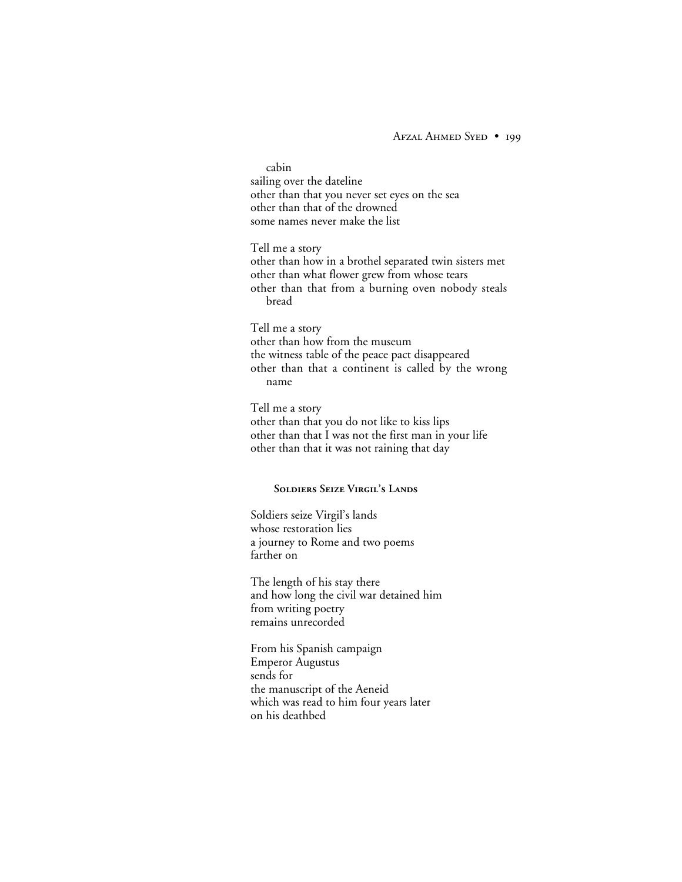AFZAL AHMED SYED . 199

cabin sailing over the dateline other than that you never set eyes on the sea other than that of the drowned some names never make the list

Tell me a story other than how in a brothel separated twin sisters met other than what flower grew from whose tears other than that from a burning oven nobody steals bread

Tell me a story other than how from the museum the witness table of the peace pact disappeared other than that a continent is called by the wrong name

Tell me a story other than that you do not like to kiss lips other than that I was not the first man in your life other than that it was not raining that day

#### SOLDIERS SEIZE VIRGIL'S LANDS

Soldiers seize Virgil's lands whose restoration lies a journey to Rome and two poems farther on

The length of his stay there and how long the civil war detained him from writing poetry remains unrecorded

From his Spanish campaign Emperor Augustus sends for the manuscript of the Aeneid which was read to him four years later on his deathbed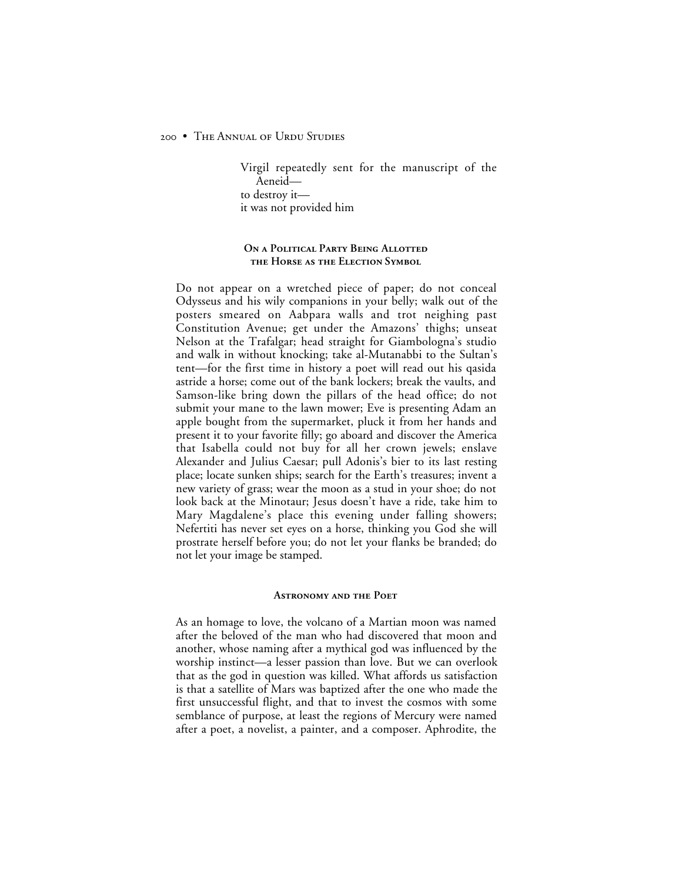Virgil repeatedly sent for the manuscript of the Aeneid to destroy it it was not provided him

## **ON A** POLITICAL PARTY BEING ALLOTTED **THE HORSE AS THE ELECTION SYMBOL**

Do not appear on a wretched piece of paper; do not conceal Odysseus and his wily companions in your belly; walk out of the posters smeared on Aabpara walls and trot neighing past Constitution Avenue; get under the Amazons' thighs; unseat Nelson at the Trafalgar; head straight for Giambologna's studio and walk in without knocking; take al-Mutanabbi to the Sultan's tent—for the first time in history a poet will read out his qasida astride a horse; come out of the bank lockers; break the vaults, and Samson-like bring down the pillars of the head office; do not submit your mane to the lawn mower; Eve is presenting Adam an apple bought from the supermarket, pluck it from her hands and present it to your favorite filly; go aboard and discover the America that Isabella could not buy for all her crown jewels; enslave Alexander and Julius Caesar; pull Adonis's bier to its last resting place; locate sunken ships; search for the Earth's treasures; invent a new variety of grass; wear the moon as a stud in your shoe; do not look back at the Minotaur; Jesus doesn't have a ride, take him to Mary Magdalene's place this evening under falling showers; Nefertiti has never set eyes on a horse, thinking you God she will prostrate herself before you; do not let your flanks be branded; do not let your image be stamped.

#### **ASTRONOMY AND THE POET**

As an homage to love, the volcano of a Martian moon was named after the beloved of the man who had discovered that moon and another, whose naming after a mythical god was influenced by the worship instinct—a lesser passion than love. But we can overlook that as the god in question was killed. What affords us satisfaction is that a satellite of Mars was baptized after the one who made the first unsuccessful flight, and that to invest the cosmos with some semblance of purpose, at least the regions of Mercury were named after a poet, a novelist, a painter, and a composer. Aphrodite, the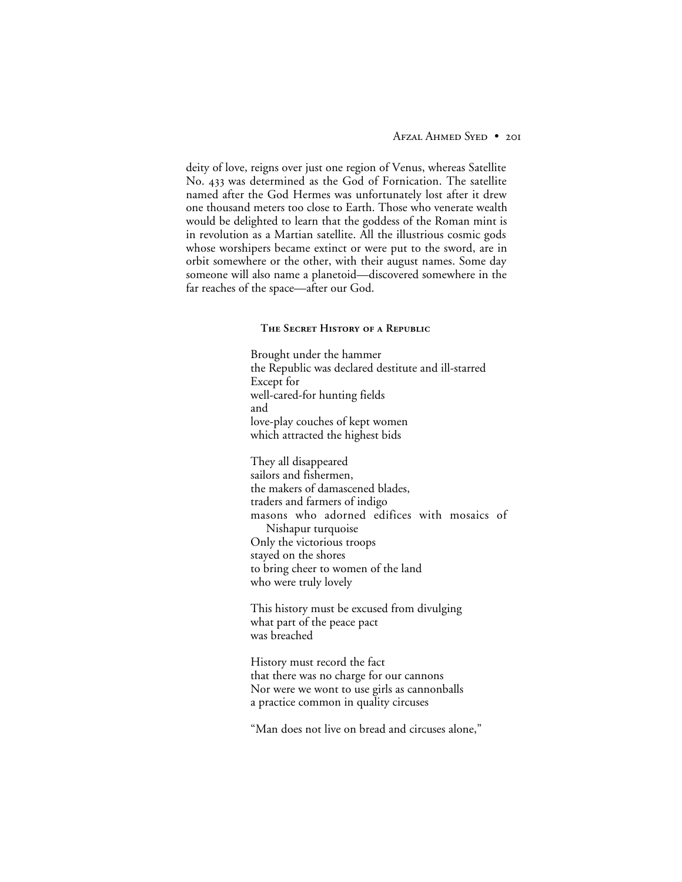## AFZAL AHMED SYED • 201

deity of love, reigns over just one region of Venus, whereas Satellite No. 433 was determined as the God of Fornication. The satellite named after the God Hermes was unfortunately lost after it drew one thousand meters too close to Earth. Those who venerate wealth would be delighted to learn that the goddess of the Roman mint is in revolution as a Martian satellite. All the illustrious cosmic gods whose worshipers became extinct or were put to the sword, are in orbit somewhere or the other, with their august names. Some day someone will also name a planetoid—discovered somewhere in the far reaches of the space—after our God.

#### **THE SECRET HISTORY OF A REPUBLIC**

Brought under the hammer the Republic was declared destitute and ill-starred Except for well-cared-for hunting fields and love-play couches of kept women which attracted the highest bids

They all disappeared sailors and fishermen, the makers of damascened blades, traders and farmers of indigo masons who adorned edifices with mosaics of Nishapur turquoise Only the victorious troops stayed on the shores to bring cheer to women of the land who were truly lovely

This history must be excused from divulging what part of the peace pact was breached

History must record the fact that there was no charge for our cannons Nor were we wont to use girls as cannonballs a practice common in quality circuses

"Man does not live on bread and circuses alone,"